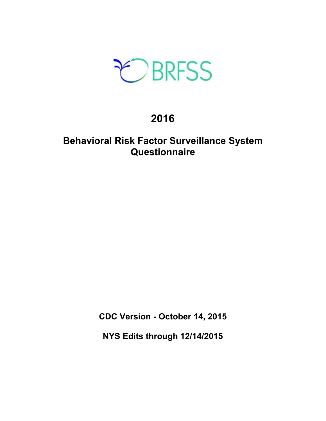

# **2016**

# **Behavioral Risk Factor Surveillance System Questionnaire**

**CDC Version - October 14, 2015**

**NYS Edits through 12/14/2015**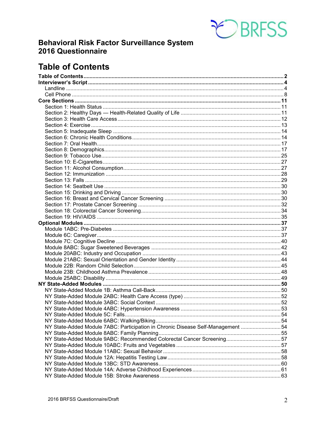

# **Behavioral Risk Factor Surveillance System** 2016 Questionnaire

# <span id="page-1-0"></span>**Table of Contents**

| NY State-Added Module 7ABC: Participation in Chronic Disease Self-Management 54 |  |
|---------------------------------------------------------------------------------|--|
|                                                                                 |  |
| NY State-Added Module 9ABC: Recommended Colorectal Cancer Screening57           |  |
|                                                                                 |  |
|                                                                                 |  |
|                                                                                 |  |
|                                                                                 |  |
|                                                                                 |  |
|                                                                                 |  |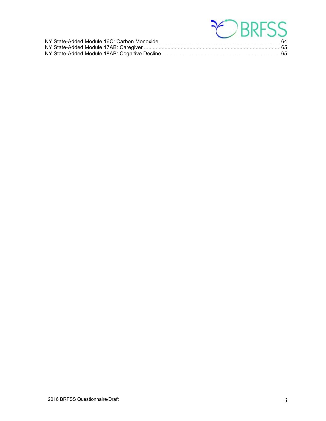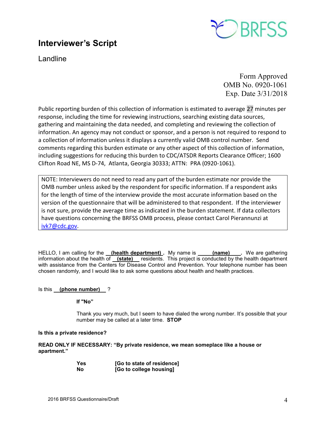# <span id="page-3-0"></span>**Interviewer's Script**



<span id="page-3-1"></span>Landline

Form Approved OMB No. 0920-1061 Exp. Date 3/31/2018

Public reporting burden of this collection of information is estimated to average 27 minutes per response, including the time for reviewing instructions, searching existing data sources, gathering and maintaining the data needed, and completing and reviewing the collection of information. An agency may not conduct or sponsor, and a person is not required to respond to a collection of information unless it displays a currently valid OMB control number. Send comments regarding this burden estimate or any other aspect of this collection of information, including suggestions for reducing this burden to CDC/ATSDR Reports Clearance Officer; 1600 Clifton Road NE, MS D-74, Atlanta, Georgia 30333; ATTN: PRA (0920-1061).

NOTE: Interviewers do not need to read any part of the burden estimate nor provide the OMB number unless asked by the respondent for specific information. If a respondent asks for the length of time of the interview provide the most accurate information based on the version of the questionnaire that will be administered to that respondent. If the interviewer is not sure, provide the average time as indicated in the burden statement. If data collectors have questions concerning the BRFSS OMB process, please contact Carol Pierannunzi at [ivk7@cdc.gov.](mailto:ivk7@cdc.gov)

HELLO, I am calling for the **(health department)**. My name is **(name)** Ne are gathering information about the health of **(state)** residents. This project is conducted by the health department with assistance from the Centers for Disease Control and Prevention. Your telephone number has been chosen randomly, and I would like to ask some questions about health and health practices.

# Is this **(phone number)** ?

**If "No"** 

Thank you very much, but I seem to have dialed the wrong number. It's possible that your number may be called at a later time. **STOP**

## **Is this a private residence?**

**READ ONLY IF NECESSARY: "By private residence, we mean someplace like a house or apartment."**

| Yes | [Go to state of residence] |
|-----|----------------------------|
| No  | [Go to college housing]    |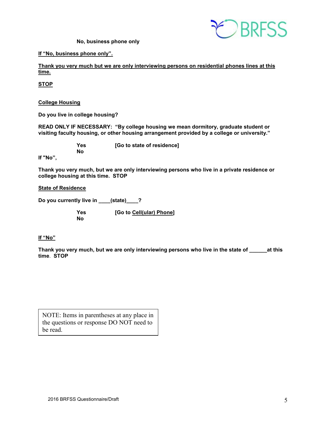

**No, business phone only**

**If "No, business phone only".**

**Thank you very much but we are only interviewing persons on residential phones lines at this time.**

**STOP**

**College Housing**

**Do you live in college housing?** 

**READ ONLY IF NECESSARY: "By college housing we mean dormitory, graduate student or visiting faculty housing, or other housing arrangement provided by a college or university."**

**No**

**Yes [Go to state of residence]**

**If "No",**

**Thank you very much, but we are only interviewing persons who live in a private residence or college housing at this time. STOP** 

**State of Residence**

**Do you currently live in \_\_\_\_(state)\_\_\_\_?** 

**Yes [Go to Cell(ular) Phone] No**

**If "No"**

**Thank you very much, but we are only interviewing persons who live in the state of \_\_\_\_\_\_at this time**. **STOP**

NOTE: Items in parentheses at any place in the questions or response DO NOT need to be read.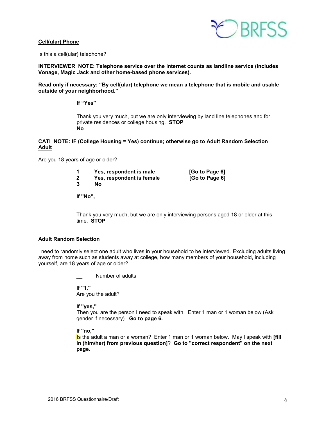

## **Cell(ular) Phone**

Is this a cell(ular) telephone?

**INTERVIEWER NOTE: Telephone service over the internet counts as landline service (includes Vonage, Magic Jack and other home-based phone services).**

**Read only if necessary: "By cell(ular) telephone we mean a telephone that is mobile and usable outside of your neighborhood."** 

**If "Yes"**

Thank you very much, but we are only interviewing by land line telephones and for private residences or college housing. **STOP No**

## **CATI NOTE: IF (College Housing = Yes) continue; otherwise go to Adult Random Selection Adult**

Are you 18 years of age or older?

| Yes, respondent is male   | [Go to Page 6] |
|---------------------------|----------------|
| Yes, respondent is female | [Go to Page 6] |
| Nο                        |                |

**If "No",**

Thank you very much, but we are only interviewing persons aged 18 or older at this time. **STOP** 

## **Adult Random Selection**

I need to randomly select one adult who lives in your household to be interviewed. Excluding adults living away from home such as students away at college, how many members of your household, including yourself, are 18 years of age or older?

Number of adults

**If "1,"**  Are you the adult?

**If "yes,"** 

Then you are the person I need to speak with. Enter 1 man or 1 woman below (Ask gender if necessary). **Go to page 6.**

**If "no,"** 

Is the adult a man or a woman? Enter 1 man or 1 woman below. May I speak with **[fill in (him/her) from previous question]**? **Go to "correct respondent" on the next page.**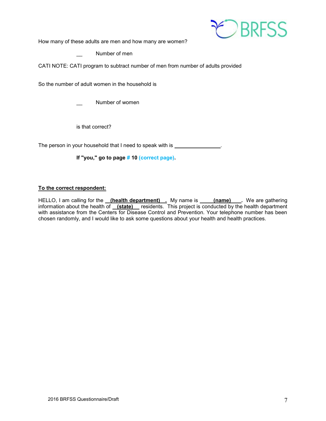

How many of these adults are men and how many are women?

Number of men

CATI NOTE: CATI program to subtract number of men from number of adults provided

So the number of adult women in the household is

Number of women

is that correct?

The person in your household that I need to speak with is \_\_\_\_\_\_\_\_\_\_\_\_\_\_\_.

**If "you," go to page # 10 (correct page).**

# **To the correct respondent:**

HELLO, I am calling for the <u>\_\_**(health department)** \_\_</u> My name is \_\_\_\_\_<mark>(name)</mark> \_\_\_. We are gathering information about the health of **(state)** residents. This project is conducted by the health department with assistance from the Centers for Disease Control and Prevention. Your telephone number has been chosen randomly, and I would like to ask some questions about your health and health practices.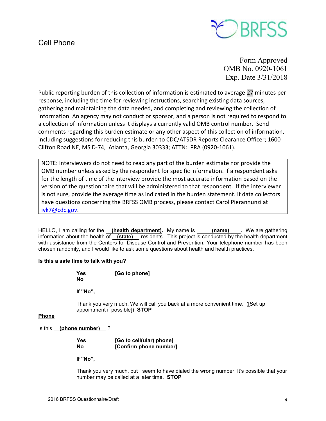# <span id="page-7-0"></span>Cell Phone



Form Approved OMB No. 0920-1061 Exp. Date 3/31/2018

Public reporting burden of this collection of information is estimated to average 27 minutes per response, including the time for reviewing instructions, searching existing data sources, gathering and maintaining the data needed, and completing and reviewing the collection of information. An agency may not conduct or sponsor, and a person is not required to respond to a collection of information unless it displays a currently valid OMB control number. Send comments regarding this burden estimate or any other aspect of this collection of information, including suggestions for reducing this burden to CDC/ATSDR Reports Clearance Officer; 1600 Clifton Road NE, MS D-74, Atlanta, Georgia 30333; ATTN: PRA (0920-1061).

NOTE: Interviewers do not need to read any part of the burden estimate nor provide the OMB number unless asked by the respondent for specific information. If a respondent asks for the length of time of the interview provide the most accurate information based on the version of the questionnaire that will be administered to that respondent. If the interviewer is not sure, provide the average time as indicated in the burden statement. If data collectors have questions concerning the BRFSS OMB process, please contact Carol Pierannunzi at [ivk7@cdc.gov.](mailto:ivk7@cdc.gov)

HELLO, I am calling for the **(health department).** My name is **(name)** Ne are gathering information about the health of **(state)** residents. This project is conducted by the health department with assistance from the Centers for Disease Control and Prevention. Your telephone number has been chosen randomly, and I would like to ask some questions about health and health practices.

## **Is this a safe time to talk with you?**

| <b>Yes</b> | [Go to phone] |
|------------|---------------|
| No         |               |

**If "No",** 

Thank you very much. We will call you back at a more convenient time. ([Set up appointment if possible]) **STOP** 

## **Phone**

Is this **(phone number)** ?

| Yes | [Go to cell(ular) phone] |
|-----|--------------------------|
| No  | [Confirm phone number]   |

**If "No",**

Thank you very much, but I seem to have dialed the wrong number. It's possible that your number may be called at a later time. **STOP**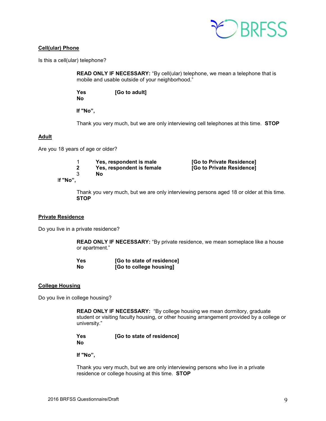

# **Cell(ular) Phone**

Is this a cell(ular) telephone?

**READ ONLY IF NECESSARY:** "By cell(ular) telephone, we mean a telephone that is mobile and usable outside of your neighborhood."

**Yes [Go to adult] No**

**If "No",**

Thank you very much, but we are only interviewing cell telephones at this time. **STOP** 

# **Adult**

Are you 18 years of age or older?

1 **Yes, respondent is male [Go to Private Residence]**

**2 Yes, respondent is female [Go to Private Residence]** 3 **No**

I**f "No",**

Thank you very much, but we are only interviewing persons aged 18 or older at this time. **STOP** 

## **Private Residence**

Do you live in a private residence?

**READ ONLY IF NECESSARY:** "By private residence, we mean someplace like a house or apartment."

| <b>Yes</b> | [Go to state of residence] |
|------------|----------------------------|
| No.        | [Go to college housing]    |

## **College Housing**

Do you live in college housing?

**READ ONLY IF NECESSARY:** "By college housing we mean dormitory, graduate student or visiting faculty housing, or other housing arrangement provided by a college or university."

**Yes [Go to state of residence] No**

**If "No",**

Thank you very much, but we are only interviewing persons who live in a private residence or college housing at this time. **STOP**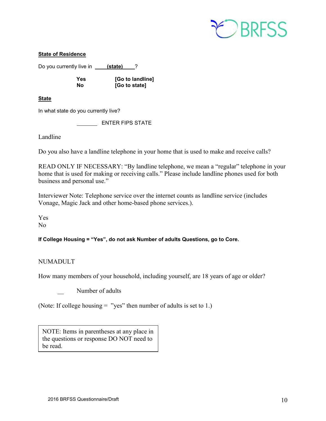

# **State of Residence**

Do you currently live in **\_\_\_\_\_ (state)** \_\_\_?

**Yes [Go to landline] No [Go to state]**

**State**

In what state do you currently live?

ENTER FIPS STATE

Landline

Do you also have a landline telephone in your home that is used to make and receive calls?

READ ONLY IF NECESSARY: "By landline telephone, we mean a "regular" telephone in your home that is used for making or receiving calls." Please include landline phones used for both business and personal use."

Interviewer Note: Telephone service over the internet counts as landline service (includes Vonage, Magic Jack and other home-based phone services.).

Yes No

**If College Housing = "Yes", do not ask Number of adults Questions, go to Core.**

# NUMADULT

How many members of your household, including yourself, are 18 years of age or older?

Number of adults

(Note: If college housing = "yes" then number of adults is set to 1.)

NOTE: Items in parentheses at any place in the questions or response DO NOT need to be read.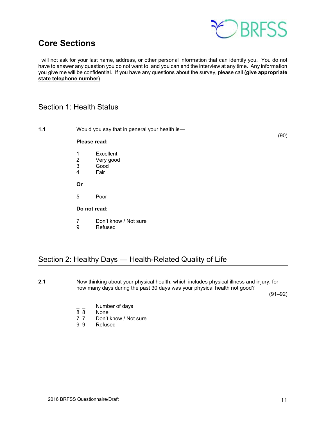

# <span id="page-10-0"></span>**Core Sections**

I will not ask for your last name, address, or other personal information that can identify you. You do not have to answer any question you do not want to, and you can end the interview at any time. Any information you give me will be confidential. If you have any questions about the survey, please call **(give appropriate state telephone number)**.

# <span id="page-10-1"></span>Section 1: Health Status

**1.1** Would you say that in general your health is— (90) **Please read:** 1 Excellent 2 Very good 3 Good **Fair Or** 5 Poor **Do not read:** 7 Don't know / Not sure 9 Refused

# <span id="page-10-2"></span>Section 2: Healthy Days — Health-Related Quality of Life

**2.1** Now thinking about your physical health, which includes physical illness and injury, for how many days during the past 30 days was your physical health not good?

(91–92)

- $\frac{1}{8}$   $\frac{1}{8}$  Number of days
- 8 8 None<br>7 7 Don't
- 7 7 Don't know / Not sure<br>9 9 Refused
- **Refused**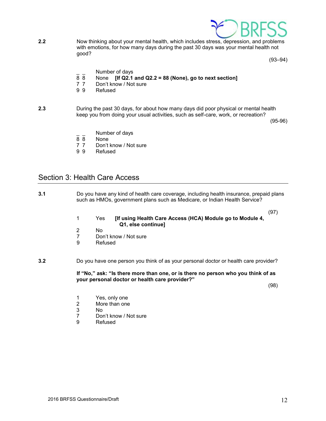

**2.2** Now thinking about your mental health, which includes stress, depression, and problems with emotions, for how many days during the past 30 days was your mental health not good?

(93–94)

- $\frac{1}{8}$   $\frac{1}{8}$  Number of days
- 8 8 None **[If Q2.1 and Q2.2 = 88 (None), go to next section]**
- 7 7 Don't know / Not sure<br>9 9 Refused
- **Refused**
- **2.3** During the past 30 days, for about how many days did poor physical or mental health keep you from doing your usual activities, such as self-care, work, or recreation?

(95-96)

- $\frac{1}{8}$   $\frac{1}{8}$  Number of days
- None
- 7 7 Don't know / Not sure
- 9 9 Refused

# <span id="page-11-0"></span>Section 3: Health Care Access

**3.1** Do you have any kind of health care coverage, including health insurance, prepaid plans such as HMOs, government plans such as Medicare, or Indian Health Service? (97) 1 Yes **[If using Health Care Access (HCA) Module go to Module 4, Q1, else continue]** 2 No 7 Don't know / Not sure 9 Refused **3.2** Do you have one person you think of as your personal doctor or health care provider? **If "No," ask: "Is there more than one, or is there no person who you think of as your personal doctor or health care provider?"** (98) 1 Yes, only one<br>2 More than one 2 More than one<br>3 No 3 No 7 Don't know / Not sure<br>9 Refused **Refused**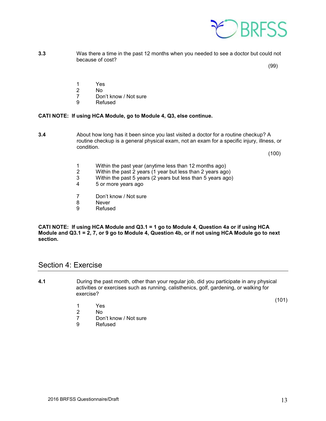

**3.3** Was there a time in the past 12 months when you needed to see a doctor but could not because of cost?

(99)

- 
- 1 Yes
- 2 No<br>7 Dor 7 Don't know / Not sure<br>9 Refused
	- **Refused**

# **CATI NOTE: If using HCA Module, go to Module 4, Q3, else continue.**

**3.4** About how long has it been since you last visited a doctor for a routine checkup? A routine checkup is a general physical exam, not an exam for a specific injury, illness, or condition.

(100)

- 1 Within the past year (anytime less than 12 months ago)
- 2 Within the past 2 years (1 year but less than 2 years ago)
- 3 Within the past 5 years (2 years but less than 5 years ago)<br>4 5 or more years ago
- 4 5 or more years ago
- 7 Don't know / Not sure<br>8 Never
- 8 Never<br>9 Refuse
- **Refused**

**CATI NOTE: If using HCA Module and Q3.1 = 1 go to Module 4, Question 4a or if using HCA Module and Q3.1 = 2, 7, or 9 go to Module 4, Question 4b, or if not using HCA Module go to next section.**

# <span id="page-12-0"></span>Section 4: Exercise

- **4.1** During the past month, other than your regular job, did you participate in any physical activities or exercises such as running, calisthenics, golf, gardening, or walking for exercise?
	- 1 Yes
	- $No$
	- 7 Don't know / Not sure<br>9 Refused
	- **Refused**

(101)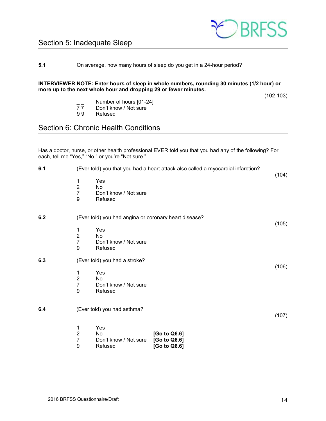

# <span id="page-13-0"></span>**5.1** On average, how many hours of sleep do you get in a 24-hour period?

## **INTERVIEWER NOTE: Enter hours of sleep in whole numbers, rounding 30 minutes (1/2 hour) or more up to the next whole hour and dropping 29 or fewer minutes.**

(102-103)

- $\frac{1}{7}$  Number of hours [01-24]<br>77 Don't know / Not sure
- $\overline{7}$   $\overline{7}$  Don't know / Not sure<br>99 Refused
- **Refused**

# <span id="page-13-1"></span>Section 6: Chronic Health Conditions

Has a doctor, nurse, or other health professional EVER told you that you had any of the following? For each, tell me "Yes," "No," or you're "Not sure."

| 6.1 |                                            |                                                       | (Ever told) you that you had a heart attack also called a myocardial infarction? | (104) |
|-----|--------------------------------------------|-------------------------------------------------------|----------------------------------------------------------------------------------|-------|
|     | 1<br>$\overline{c}$<br>$\overline{7}$<br>9 | Yes<br>No<br>Don't know / Not sure<br>Refused         |                                                                                  |       |
| 6.2 |                                            | (Ever told) you had angina or coronary heart disease? |                                                                                  | (105) |
|     | 1<br>$\overline{2}$<br>$\overline{7}$<br>9 | Yes<br>No<br>Don't know / Not sure<br>Refused         |                                                                                  |       |
| 6.3 |                                            | (Ever told) you had a stroke?                         |                                                                                  | (106) |
|     | 1<br>$\frac{2}{7}$<br>9                    | Yes<br>No<br>Don't know / Not sure<br>Refused         |                                                                                  |       |
| 6.4 |                                            | (Ever told) you had asthma?                           |                                                                                  | (107) |
|     | 1<br>$\overline{2}$<br>7<br>9              | Yes<br>No<br>Don't know / Not sure<br>Refused         | [Go to Q6.6]<br>[Go to Q6.6]<br>[Go to Q6.6]                                     |       |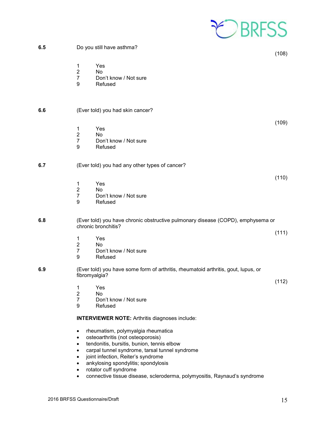

| 6.5 | Do you still have asthma?                                                                                                                                                                                                                                                                                                                                                                                                                                 | (108) |
|-----|-----------------------------------------------------------------------------------------------------------------------------------------------------------------------------------------------------------------------------------------------------------------------------------------------------------------------------------------------------------------------------------------------------------------------------------------------------------|-------|
|     | Yes<br>1<br>$\overline{2}$<br><b>No</b><br>$\overline{7}$<br>Don't know / Not sure<br>9<br>Refused                                                                                                                                                                                                                                                                                                                                                        |       |
| 6.6 | (Ever told) you had skin cancer?                                                                                                                                                                                                                                                                                                                                                                                                                          |       |
|     | Yes<br>1<br>$\overline{2}$<br>No<br>$\overline{7}$<br>Don't know / Not sure<br>9<br>Refused                                                                                                                                                                                                                                                                                                                                                               | (109) |
| 6.7 | (Ever told) you had any other types of cancer?                                                                                                                                                                                                                                                                                                                                                                                                            |       |
|     | Yes<br>1<br>$\boldsymbol{2}$<br><b>No</b><br>$\overline{7}$<br>Don't know / Not sure<br>9<br>Refused                                                                                                                                                                                                                                                                                                                                                      | (110) |
| 6.8 | (Ever told) you have chronic obstructive pulmonary disease (COPD), emphysema or<br>chronic bronchitis?                                                                                                                                                                                                                                                                                                                                                    |       |
|     | 1<br>Yes<br>$\overline{c}$<br>No<br>$\overline{7}$<br>Don't know / Not sure<br>9<br>Refused                                                                                                                                                                                                                                                                                                                                                               | (111) |
| 6.9 | (Ever told) you have some form of arthritis, rheumatoid arthritis, gout, lupus, or<br>fibromyalgia?                                                                                                                                                                                                                                                                                                                                                       |       |
|     | Yes<br>1<br>$\overline{2}$<br>No<br>$\overline{7}$<br>Don't know / Not sure<br>9<br>Refused                                                                                                                                                                                                                                                                                                                                                               | (112) |
|     | <b>INTERVIEWER NOTE:</b> Arthritis diagnoses include:                                                                                                                                                                                                                                                                                                                                                                                                     |       |
|     | rheumatism, polymyalgia rheumatica<br>$\bullet$<br>osteoarthritis (not osteoporosis)<br>$\bullet$<br>tendonitis, bursitis, bunion, tennis elbow<br>$\bullet$<br>carpal tunnel syndrome, tarsal tunnel syndrome<br>$\bullet$<br>joint infection, Reiter's syndrome<br>$\bullet$<br>ankylosing spondylitis; spondylosis<br>$\bullet$<br>rotator cuff syndrome<br>$\bullet$<br>connective tissue disease, scleroderma, polymyositis, Raynaud's syndrome<br>٠ |       |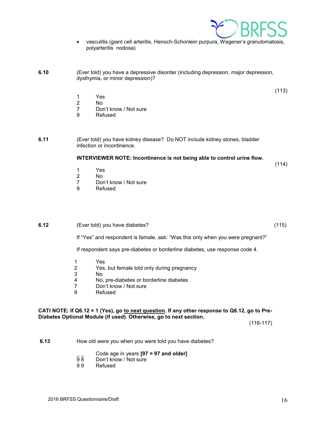

• vasculitis (giant cell arteritis, Henoch-Schonlein purpura, Wegener's granulomatosis, polyarteritis nodosa)

#### **6.10** (Ever told) you have a depressive disorder (including depression, major depression, dysthymia, or minor depression)?

(113)

- 1 Yes
- 2 No<br>7 Dor
- 7 Don't know / Not sure<br>9 Refused
- **Refused**
- **6.11** (Ever told) you have kidney disease? Do NOT include kidney stones, bladder infection or incontinence.

## **INTERVIEWER NOTE: Incontinence is not being able to control urine flow.**

(114)

- 1 Yes
- 2 No<br>7 Dor
- 7 Don't know / Not sure<br>9 Refused
- **Refused**

# **6.12** (Ever told) you have diabetes? (115)

If "Yes" and respondent is female, ask: "Was this only when you were pregnant?"

If respondent says pre-diabetes or borderline diabetes, use response code 4.

- 1 Yes
- 2 Yes, but female told only during pregnancy
- 3 No<br>4 No.
- 4 No, pre-diabetes or borderline diabetes
- 7 Don't know / Not sure<br>9 Refused
- **Refused**

#### **CATI NOTE: If Q6.12 = 1 (Yes), go to next question. If any other response to Q6.12, go to Pre-Diabetes Optional Module (if used). Otherwise, go to next section.**

(116-117)

- **6.13** How old were you when you were told you have diabetes?
	- \_ \_ Code age in years **[97 = 97 and older]**
	- 98 Don't know / Not sure<br>99 Refused
	- **Refused**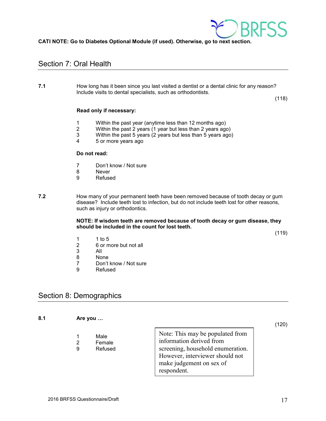

**CATI NOTE: Go to Diabetes Optional Module (if used). Otherwise, go to next section.** 

# <span id="page-16-0"></span>Section 7: Oral Health

**7.1** How long has it been since you last visited a dentist or a dental clinic for any reason? Include visits to dental specialists, such as orthodontists.

(118)

## **Read only if necessary:**

- 1 Within the past year (anytime less than 12 months ago)<br>2 Within the past 2 years (1 year but less than 2 years ago
- 2 Within the past 2 years (1 year but less than 2 years ago)<br>3 Within the past 5 years (2 years but less than 5 years ago
- 3 Within the past 5 years (2 years but less than 5 years ago)<br>4 5 or more years ago
- 4 5 or more years ago

#### **Do not read:**

- 7 Don't know / Not sure
- 8 Never
- 9 Refused
- **7.2** How many of your permanent teeth have been removed because of tooth decay or gum disease? Include teeth lost to infection, but do not include teeth lost for other reasons, such as injury or orthodontics.

## **NOTE: If wisdom teeth are removed because of tooth decay or gum disease, they should be included in the count for lost teeth.**

(119)

- 1 1 to 5<br>2 6 or m
- 2 6 or more but not all<br>3 All
- 3 All
- 8 None<br>7 Don't
- Don't know / Not sure
- 9 Refused

# <span id="page-16-1"></span>Section 8: Demographics

| 8.1 | Are you |                           |                                                                                                                                                                                 |       |  |
|-----|---------|---------------------------|---------------------------------------------------------------------------------------------------------------------------------------------------------------------------------|-------|--|
|     | 9       | Male<br>Female<br>Refused | Note: This may be populated from<br>information derived from<br>screening, household enumeration.<br>However, interviewer should not<br>make judgement on sex of<br>respondent. | (120) |  |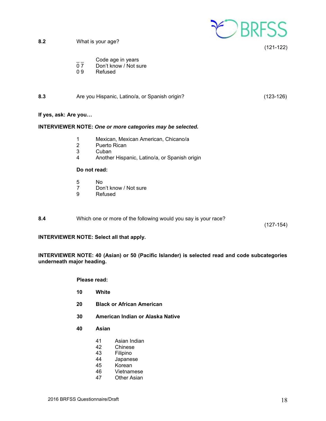

(121-122)

| Code age in years |  |
|-------------------|--|
|                   |  |

- $\overline{0}$  7 Don't know / Not sure
- 0 9 Refused

| 8.3                  | Are you Hispanic, Latino/a, or Spanish origin? | $(123-126)$ |
|----------------------|------------------------------------------------|-------------|
| If yes, ask: Are you |                                                |             |

# **INTERVIEWER NOTE:** *One or more categories may be selected.*

- 1 Mexican, Mexican American, Chicano/a
- Puerto Rican
- 3 Cuban<br>4 Anothe
- 4 Another Hispanic, Latino/a, or Spanish origin

# **Do not read:**

- 5 No
- 7 Don't know / Not sure<br>9 Refused
- **Refused**

**8.4** Which one or more of the following would you say is your race?

(127-154)

# **INTERVIEWER NOTE: Select all that apply.**

# **INTERVIEWER NOTE: 40 (Asian) or 50 (Pacific Islander) is selected read and code subcategories underneath major heading.**

**Please read:**

- **10 White**
- **20 Black or African American**
- **30 American Indian or Alaska Native**
- **40 Asian**
	- 41 Asian Indian
	- 42 Chinese
	- 43 Filipino
	- 44 Japanese<br>45 Korean
	- 45 Korean<br>46 Vietnam
	- Vietnamese
	- 47 Other Asian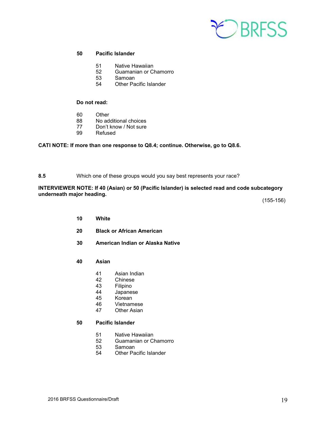

#### **50 Pacific Islander**

- 51 Native Hawaiian
- 52 Guamanian or Chamorro<br>53 Samoan
- Samoan
- 54 Other Pacific Islander

## **Do not read:**

- 60 Other
- 88 No additional choices<br>77 Don't know / Not sure
- 77 Don't know / Not sure<br>99 Refused
- Refused

#### **CATI NOTE: If more than one response to Q8.4; continue. Otherwise, go to Q8.6.**

**8.5** Which one of these groups would you say best represents your race?

# **INTERVIEWER NOTE: If 40 (Asian) or 50 (Pacific Islander) is selected read and code subcategory underneath major heading.**

(155-156)

- **10 White**
- **20 Black or African American**
- **30 American Indian or Alaska Native**
- **40 Asian**
	- 41 Asian Indian<br>42 Chinese
	- 42 Chinese<br>43 Filipino
	- 43 Filipino<br>44 Japanes
	- 44 Japanese<br>45 Korean
	- Korean
	- 46 Vietnamese
	- 47 Other Asian

# **50 Pacific Islander**

- 51 Native Hawaiian
- 52 Guamanian or Chamorro
- 53 Samoan
- 54 Other Pacific Islander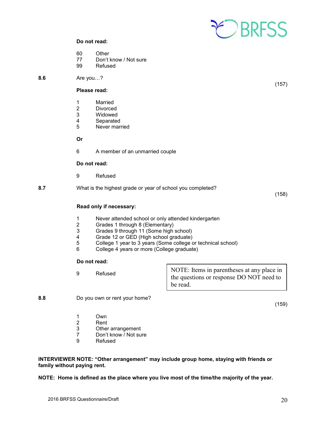

## **Do not read:**

- 60 Other<br>77 Don't
- Don't know / Not sure
- 99 Refused

**8.6** Are you…?

#### **Please read:**

- 
- 1 Married<br>2 Divorced
- 2 Divorced<br>3 Widowed Widowed
- 
- 4 Separated<br>5 Never mari Never married

#### **Or**

6 A member of an unmarried couple

## **Do not read:**

- 9 Refused
- **8.7** What is the highest grade or year of school you completed?

(158)

(159)

(157)

#### **Read only if necessary:**

- 1 Never attended school or only attended kindergarten
- 2 Grades 1 through 8 (Elementary)<br>3 Grades 9 through 11 (Some high
- Grades 9 through 11 (Some high school)
- 4 Grade 12 or GED (High school graduate)<br>5 College 1 year to 3 years (Some college c
- 5 College 1 year to 3 years (Some college or technical school)<br>6 College 4 years or more (College graduate)
- College 4 years or more (College graduate)

#### **Do not read:**

9 Refused NOTE: Items in parentheses at any place in the questions or response DO NOT need to be read.

**8.8** Do you own or rent your home?

- 1 Own<br>2 Rent
- 2 Rent<br>3 Other
- 3 Other arrangement<br>7 Don't know / Not sui
- Don't know / Not sure
- 9 Refused

**INTERVIEWER NOTE: "Other arrangement" may include group home, staying with friends or family without paying rent.**

**NOTE: Home is defined as the place where you live most of the time/the majority of the year.**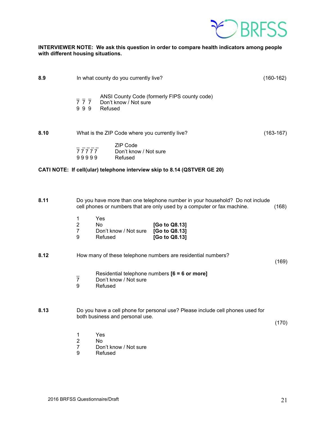

## **INTERVIEWER NOTE: We ask this question in order to compare health indicators among people with different housing situations.**

| 8.9  |                                                                | In what county do you currently live?                                                                                                                   | $(160-162)$ |
|------|----------------------------------------------------------------|---------------------------------------------------------------------------------------------------------------------------------------------------------|-------------|
|      | $\overline{7}$ $\overline{7}$ $\overline{7}$<br>999            | ANSI County Code (formerly FIPS county code)<br>Don't know / Not sure<br>Refused                                                                        |             |
| 8.10 |                                                                | What is the ZIP Code where you currently live?                                                                                                          | $(163-167)$ |
|      | 77777<br>99999                                                 | <b>ZIP Code</b><br>Don't know / Not sure<br>Refused                                                                                                     |             |
|      |                                                                | CATI NOTE: If cell(ular) telephone interview skip to 8.14 (QSTVER GE 20)                                                                                |             |
|      |                                                                |                                                                                                                                                         |             |
| 8.11 |                                                                | Do you have more than one telephone number in your household? Do not include<br>cell phones or numbers that are only used by a computer or fax machine. | (168)       |
|      | $\mathbf{1}$<br>$\overline{\mathbf{c}}$<br>$\overline{7}$<br>9 | Yes<br>No<br>[Go to Q8.13]<br>[Go to Q8.13]<br>Don't know / Not sure<br>[Go to Q8.13]<br>Refused                                                        |             |
| 8.12 |                                                                | How many of these telephone numbers are residential numbers?                                                                                            | (169)       |
|      | $\overline{7}$<br>9                                            | Residential telephone numbers [6 = 6 or more]<br>Don't know / Not sure<br>Refused                                                                       |             |
| 8.13 |                                                                | Do you have a cell phone for personal use? Please include cell phones used for<br>both business and personal use.                                       | (170)       |
|      | 1<br>$\overline{2}$<br>$\overline{7}$<br>9                     | Yes<br><b>No</b><br>Don't know / Not sure<br>Refused                                                                                                    |             |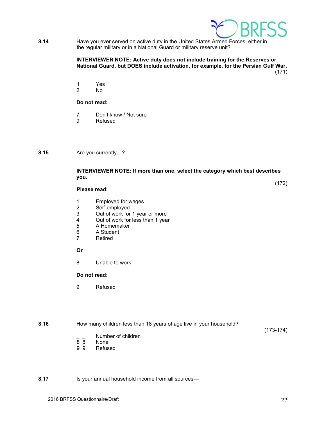

**8.14** Have you ever served on active duty in the United States Armed Forces, either in the regular military or in a National Guard or military reserve unit?

## **INTERVIEWER NOTE: Active duty does not include training for the Reserves or National Guard, but DOES include activation, for example, for the Persian Gulf War**. (171)

1 Yes

N<sub>o</sub>

## **Do not read:**

- 7 Don't know / Not sure
- 9 Refused
- **8.15** Are you currently…?

# **INTERVIEWER NOTE: If more than one, select the category which best describes you.**

#### **Please read:**

- 1 Employed for wages<br>2 Self-employed
- 2 Self-employed<br>3 Out of work for
- 3 Out of work for 1 year or more<br>4 Out of work for less than 1 yea
- 4 Out of work for less than 1 year
- 5 A Homemaker
- 6 A Student<br>7 Retired
- **Retired**

## **Or**

8 Unable to work

# **Do not read:**

9 Refused

**8.16** How many children less than 18 years of age live in your household?

(173-174)

(172)

- $\overline{88}$  Number of children
- 8 8 None<br>9 9 Refus
- **Refused**

**8.17** Is your annual household income from all sources—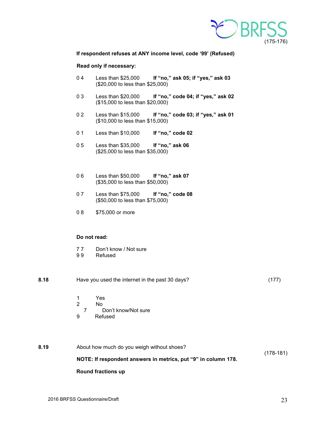

**If respondent refuses at ANY income level, code '99' (Refused)**

#### **Read only if necessary:**

- 0 4 Less than \$25,000 **If "no," ask 05; if "yes," ask 03** (\$20,000 to less than \$25,000)
- 0 3 Less than \$20,000 **If "no," code 04; if "yes," ask 02** (\$15,000 to less than \$20,000)
- 0 2 Less than \$15,000 **If "no," code 03; if "yes," ask 01** (\$10,000 to less than \$15,000)
- 0 1 Less than \$10,000 **If "no," code 02**
- 0 5 Less than \$35,000 **If "no," ask 06** (\$25,000 to less than \$35,000)
- 0 6 Less than \$50,000 **If "no," ask 07** (\$35,000 to less than \$50,000)
- 0 7 Less than \$75,000 **If "no," code 08** (\$50,000 to less than \$75,000)
- 0 8 \$75,000 or more

# **Do not read:**

- 77 Don't know / Not sure<br>99 Refused
- **Refused**

| 8.18 | Have you used the internet in the past 30 days? | (177) |
|------|-------------------------------------------------|-------|
|      | Yes<br>$\overline{2}$<br>No.                    |       |
|      | Don't know/Not sure                             |       |
|      | Refused<br>9                                    |       |
|      |                                                 |       |

| 8.19 | About how much do you weigh without shoes?                     |             |
|------|----------------------------------------------------------------|-------------|
|      |                                                                | $(178-181)$ |
|      | NOTE: If respondent answers in metrics, put "9" in column 178. |             |
|      |                                                                |             |

# **Round fractions up**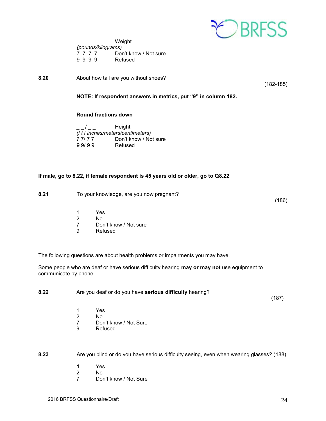

| Weight             |      |  |  |                       |  |
|--------------------|------|--|--|-----------------------|--|
| (pounds/kilograms) |      |  |  |                       |  |
|                    | 7777 |  |  | Don't know / Not sure |  |
|                    | 9999 |  |  | Refused               |  |

**8.20** About how tall are you without shoes?

(182-185)

**NOTE: If respondent answers in metrics, put "9" in column 182.**

# **Round fractions down**

|                                  | Height                |  |  |
|----------------------------------|-----------------------|--|--|
| (ft / inches/meters/centimeters) |                       |  |  |
| 77/77                            | Don't know / Not sure |  |  |
| 99/99                            | Refused               |  |  |

# **If male, go to 8.22, if female respondent is 45 years old or older, go to Q8.22**

| 8.21 | To your knowledge, are you now pregnant? |       |
|------|------------------------------------------|-------|
|      |                                          | (186) |

- 1 Yes
- 2 No<br>7 Dor
- 7 Don't know / Not sure<br>9 Refused
- **Refused**

The following questions are about health problems or impairments you may have.

Some people who are deaf or have serious difficulty hearing **may or may not** use equipment to communicate by phone.

| 8.22 | Are you deaf or do you have serious difficulty hearing? |       |
|------|---------------------------------------------------------|-------|
|      |                                                         | (187) |

- 1 Yes
- 2 No<br>7 Dor
- 7 Don't know / Not Sure<br>9 Refused
- **Refused**

**8.23** Are you blind or do you have serious difficulty seeing, even when wearing glasses? (188)

- 1 Yes
- 2 No<br>7 Dor
- Don't know / Not Sure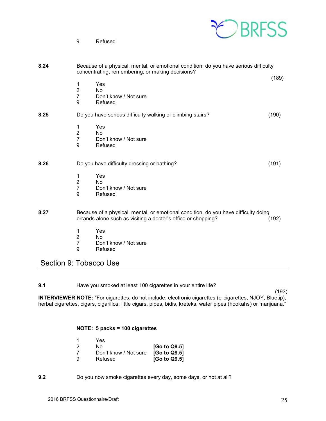

9 Refused

| 8.24 |                                            | Because of a physical, mental, or emotional condition, do you have serious difficulty<br>concentrating, remembering, or making decisions?            |       |  |  |
|------|--------------------------------------------|------------------------------------------------------------------------------------------------------------------------------------------------------|-------|--|--|
|      | 1<br>$\overline{2}$<br>$\overline{7}$<br>9 | Yes<br>No<br>Don't know / Not sure<br>Refused                                                                                                        | (189) |  |  |
| 8.25 |                                            | Do you have serious difficulty walking or climbing stairs?                                                                                           | (190) |  |  |
|      | 1<br>$\overline{c}$<br>$\overline{7}$<br>9 | Yes<br><b>No</b><br>Don't know / Not sure<br>Refused                                                                                                 |       |  |  |
| 8.26 |                                            | Do you have difficulty dressing or bathing?                                                                                                          | (191) |  |  |
|      | 1<br>$\overline{2}$<br>$\overline{7}$<br>9 | Yes<br><b>No</b><br>Don't know / Not sure<br>Refused                                                                                                 |       |  |  |
| 8.27 |                                            | Because of a physical, mental, or emotional condition, do you have difficulty doing<br>errands alone such as visiting a doctor's office or shopping? | (192) |  |  |
|      | 1<br>$\overline{2}$<br>$\overline{7}$<br>9 | Yes<br>No<br>Don't know / Not sure<br>Refused                                                                                                        |       |  |  |
|      |                                            |                                                                                                                                                      |       |  |  |

<span id="page-24-0"></span>Section 9: Tobacco Use

**9.1** Have you smoked at least 100 cigarettes in your entire life?

(193)

**INTERVIEWER NOTE:** "For cigarettes, do not include: electronic cigarettes (e-cigarettes, NJOY, Bluetip), herbal cigarettes, cigars, cigarillos, little cigars, pipes, bidis, kreteks, water pipes (hookahs) or marijuana."

# **NOTE: 5 packs = 100 cigarettes**

|    | Yes.                  |                                       |
|----|-----------------------|---------------------------------------|
| -2 | No                    | [Go to Q9.5]                          |
|    | Don't know / Not sure | [G <sub>0</sub> to Q <sub>9.5</sub> ] |
| -9 | Refused               | [Go to Q9.5]                          |

**9.2** Do you now smoke cigarettes every day, some days, or not at all?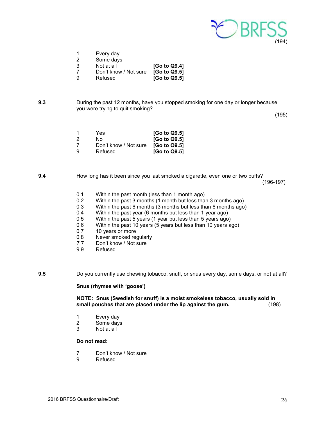

| Every day |  |
|-----------|--|
|-----------|--|

- 2 Some days<br>3 Not at all
- 3 Not at all **[Go to Q9.4]**
- 7 Don't know / Not sure<br>9 Refused
- 9 Refused **[Go to Q9.5]**
- **9.3** During the past 12 months, have you stopped smoking for one day or longer because you were trying to quit smoking?

(195)

|    | Yes                   | [Go to Q9.5] |
|----|-----------------------|--------------|
| 2  | No                    | [Go to Q9.5] |
|    | Don't know / Not sure | [Go to Q9.5] |
| ୍ର | Refused               | [Go to Q9.5] |

**9.4** How long has it been since you last smoked a cigarette, even one or two puffs?

(196-197)

- 0 1 Within the past month (less than 1 month ago)
- 0 2 Within the past 3 months (1 month but less than 3 months ago)
- 0 3 Within the past 6 months (3 months but less than 6 months ago)<br>0 4 Within the past vear (6 months but less than 1 vear ago)
- Within the past year (6 months but less than 1 year ago)
- 0 5 Within the past 5 years (1 year but less than 5 years ago)<br>0 6 Within the past 10 years (5 years but less than 10 years a
- 0 6 Within the past 10 years (5 years but less than 10 years ago)<br>0 7 10 years or more
- 10 years or more
- 0 8 Never smoked regularly<br>7 7 Don't know / Not sure
- 77 Don't know / Not sure<br>99 Refused
- **Refused**

**9.5** Do you currently use chewing tobacco, snuff, or snus every day, some days, or not at all?

#### **Snus (rhymes with 'goose')**

**NOTE: Snus (Swedish for snuff) is a moist smokeless tobacco, usually sold in small pouches that are placed under the lip against the gum.** (198)

- 1 Every day
- 2 Some days
- 3 Not at all

## **Do not read:**

- 7 Don't know / Not sure<br>9 Refused
- **Refused**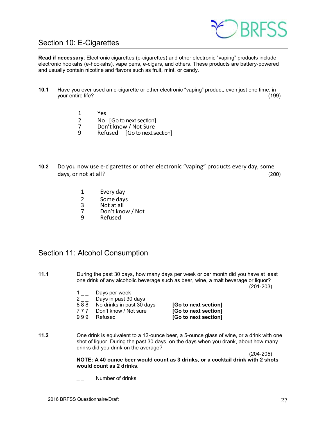

# <span id="page-26-0"></span>Section 10: E-Cigarettes

**Read if necessary**: Electronic cigarettes (e-cigarettes) and other electronic "vaping" products include electronic hookahs (e-hookahs), vape pens, e-cigars, and others. These products are battery-powered and usually contain nicotine and flavors such as fruit, mint, or candy.

- **10.1** Have you ever used an e-cigarette or other electronic "vaping" product, even just one time, in your entire life?
	- 1 Yes
	- 2 No [Go to next section]<br>7 Don't know / Not Sure
	- **7** Don't know / Not Sure<br>**9** Refused FGo to next s
	- **Refused** [Go to next section]
- **10.2** Do you now use e-cigarettes or other electronic "vaping" products every day, some days, or not at all? (200)
	- 1 Every day
	- 2 Some days<br>3 Not at all
	- 3 Not at all<br>7 Don't kno
	- 7 Don't know / Not
	- **Refused**

# <span id="page-26-1"></span>Section 11: Alcohol Consumption

**11.1** During the past 30 days, how many days per week or per month did you have at least one drink of any alcoholic beverage such as beer, wine, a malt beverage or liquor? (201-203)

- 1 Days per week
- $2<sub>-</sub>$  Days in past 30 days<br>888 No drinks in past 30 d
- 
- 
- 

8 8 8 No drinks in past 30 days **[Go to next section]** 7 7 7 Don't know / Not sure **[Go to next section]** [Go to next section]

**11.2** One drink is equivalent to a 12-ounce beer, a 5-ounce glass of wine, or a drink with one shot of liquor. During the past 30 days, on the days when you drank, about how many drinks did you drink on the average?

> (204-205) **NOTE: A 40 ounce beer would count as 3 drinks, or a cocktail drink with 2 shots**

Number of drinks

**would count as 2 drinks.**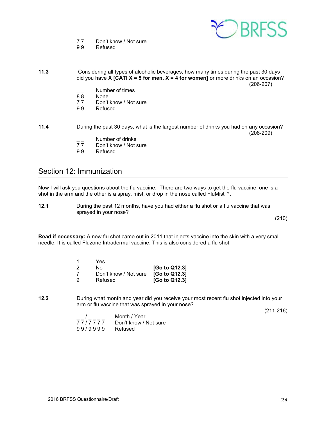

- 77 Don't know / Not sure<br>99 Refused
	- **Refused**
- **11.3** Considering all types of alcoholic beverages, how many times during the past 30 days did you have **X [CATI X = 5 for men, X = 4 for women]** or more drinks on an occasion? (206-207)
	- $\frac{1}{88}$  Number of times
	- None
	- 77 Don't know / Not sure<br>99 Refused
	- **Refused**
- **11.4** During the past 30 days, what is the largest number of drinks you had on any occasion? (208-209)
	- $\overline{7}$  Number of drinks<br> $\overline{7}$  Don't know / Not s Don't know / Not sure
	- 9 9 Refused

# <span id="page-27-0"></span>Section 12: Immunization

Now I will ask you questions about the flu vaccine. There are two ways to get the flu vaccine, one is a shot in the arm and the other is a spray, mist, or drop in the nose called FluMist™.

**12.1** During the past 12 months, have you had either a flu shot or a flu vaccine that was sprayed in your nose?

(210)

**Read if necessary:** A new flu shot came out in 2011 that injects vaccine into the skin with a very small needle. It is called Fluzone Intradermal vaccine. This is also considered a flu shot.

|    | Yes                   |               |
|----|-----------------------|---------------|
| -2 | Nο                    | [Go to Q12.3] |
|    | Don't know / Not sure | [Go to Q12.3] |
| ୍ର | Refused               | [Go to Q12.3] |

**12.2** During what month and year did you receive your most recent flu shot injected into your arm or flu vaccine that was sprayed in your nose?

(211-216)

|         | Month / Year          |
|---------|-----------------------|
| 77/7777 | Don't know / Not sure |
| 99/9999 | Refused               |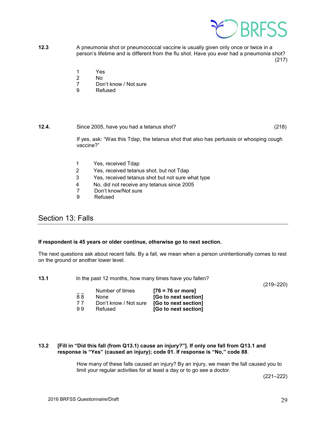

**12.3** A pneumonia shot or pneumococcal vaccine is usually given only once or twice in a person's lifetime and is different from the flu shot. Have you ever had a pneumonia shot? (217)

1 Yes 2 No

- 7 Don't know / Not sure<br>9 Refused
- **Refused**

# **12.4.** Since 2005, have you had a tetanus shot? (218)

If yes, ask: "Was this Tdap, the tetanus shot that also has pertussis or whooping cough vaccine?"

- 1 Yes, received Tdap
- 2 Yes, received tetanus shot, but not Tdap
- 3 Yes, received tetanus shot but not sure what type
- 4 No, did not receive any tetanus since 2005<br>7 Don't know/Not sure
- 7 Don't know/Not sure<br>9 Refused
- **Refused**

# <span id="page-28-0"></span>Section 13: Falls

## **If respondent is 45 years or older continue, otherwise go to next section.**

The next questions ask about recent falls. By a fall, we mean when a person unintentionally comes to rest on the ground or another lower level.

| 13.1 | In the past 12 months, how many times have you fallen? |                       | $(219 - 220)$        |  |
|------|--------------------------------------------------------|-----------------------|----------------------|--|
|      |                                                        | Number of times       | $[76 = 76$ or more]  |  |
|      | $\overline{8}$                                         | None                  | [Go to next section] |  |
|      | 77                                                     | Don't know / Not sure | [Go to next section] |  |
|      | 99                                                     | Refused               | [Go to next section] |  |
|      |                                                        |                       |                      |  |

# **13.2 [Fill in "Did this fall (from Q13.1) cause an injury?"]. If only one fall from Q13.1 and response is "Yes" (caused an injury); code 01. If response is "No," code 88**.

How many of these falls caused an injury? By an injury, we mean the fall caused you to limit your regular activities for at least a day or to go see a doctor.

(221–222)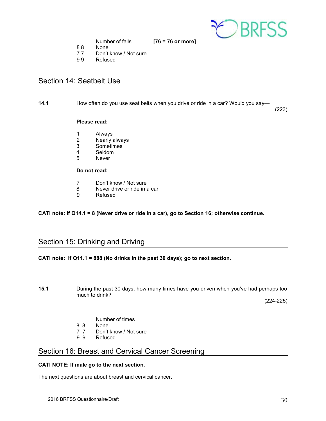

\_ \_ Number of falls **[76 = 76 or more]** 

- 
- 88 None<br>77 Don't 77 Don't know / Not sure<br>99 Refused
- **Refused**

# <span id="page-29-0"></span>Section 14: Seatbelt Use

**14.1** How often do you use seat belts when you drive or ride in a car? Would you say—

(223)

#### **Please read:**

- 
- 1 Always<br>2 Nearly 2 Nearly always<br>3 Sometimes
- 3 Sometimes
- 4 Seldom<br>5 Never
- **Never**

## **Do not read:**

- 7 Don't know / Not sure
- 8 Never drive or ride in a car
- 9 Refused

**CATI note: If Q14.1 = 8 (Never drive or ride in a car), go to Section 16; otherwise continue.**

# <span id="page-29-1"></span>Section 15: Drinking and Driving

**CATI note: If Q11.1 = 888 (No drinks in the past 30 days); go to next section.**

**15.1** During the past 30 days, how many times have you driven when you've had perhaps too much to drink?

(224-225)

- $\frac{1}{8}$   $\frac{1}{8}$  Number of times
- 8 8 None<br>7 7 Don't
- 7 7 Don't know / Not sure<br>9 9 Refused
- **Refused**

# <span id="page-29-2"></span>Section 16: Breast and Cervical Cancer Screening

## **CATI NOTE: If male go to the next section.**

The next questions are about breast and cervical cancer.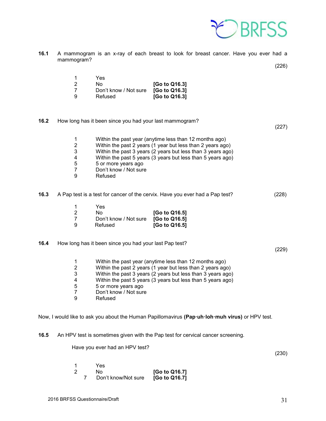

**16.1** A mammogram is an x-ray of each breast to look for breast cancer. Have you ever had a mammogram?

(226)

|    | Yes                   |               |
|----|-----------------------|---------------|
| -2 | Nο                    | [Go to Q16.3] |
|    | Don't know / Not sure | [Go to Q16.3] |
| 9  | Refused               | [Go to Q16.3] |

| 16.2 |                                                           | How long has it been since you had your last mammogram? |                                                                                                                                                                                                                                                    | (227) |
|------|-----------------------------------------------------------|---------------------------------------------------------|----------------------------------------------------------------------------------------------------------------------------------------------------------------------------------------------------------------------------------------------------|-------|
|      | 1<br>$\overline{c}$<br>3<br>4<br>5<br>$\overline{7}$<br>9 | 5 or more years ago<br>Don't know / Not sure<br>Refused | Within the past year (anytime less than 12 months ago)<br>Within the past 2 years (1 year but less than 2 years ago)<br>Within the past 3 years (2 years but less than 3 years ago)<br>Within the past 5 years (3 years but less than 5 years ago) |       |
| 16.3 |                                                           |                                                         | A Pap test is a test for cancer of the cervix. Have you ever had a Pap test?                                                                                                                                                                       | (228) |
|      | 1                                                         | Yes                                                     |                                                                                                                                                                                                                                                    |       |
|      | $\overline{c}$                                            | <b>No</b>                                               | [Go to Q16.5]                                                                                                                                                                                                                                      |       |
|      | $\overline{7}$                                            | Don't know / Not sure                                   | [Go to Q16.5]                                                                                                                                                                                                                                      |       |
|      | 9                                                         | Refused                                                 | [Go to Q16.5]                                                                                                                                                                                                                                      |       |
| 16.4 |                                                           | How long has it been since you had your last Pap test?  |                                                                                                                                                                                                                                                    | (229) |
|      | 1                                                         |                                                         | Within the past year (anytime less than 12 months ago)                                                                                                                                                                                             |       |
|      | $\overline{c}$                                            |                                                         | Within the past 2 years (1 year but less than 2 years ago)                                                                                                                                                                                         |       |
|      | 3                                                         |                                                         | Within the past 3 years (2 years but less than 3 years ago)                                                                                                                                                                                        |       |
|      | 4                                                         |                                                         | Within the past 5 years (3 years but less than 5 years ago)                                                                                                                                                                                        |       |
|      | 5                                                         | 5 or more years ago                                     |                                                                                                                                                                                                                                                    |       |
|      | $\overline{7}$                                            | Don't know / Not sure                                   |                                                                                                                                                                                                                                                    |       |
|      | 9                                                         | Refused                                                 |                                                                                                                                                                                                                                                    |       |
|      |                                                           |                                                         | Now, I would like to ask you about the Human Papillomavirus (Pap·uh·loh·muh virus) or HPV test.                                                                                                                                                    |       |

**16.5** An HPV test is sometimes given with the Pap test for cervical cancer screening.

Have you ever had an HPV test?

|   | Yes.                |               |
|---|---------------------|---------------|
| 2 | No.                 | [Go to Q16.7] |
|   | Don't know/Not sure | [Go to Q16.7] |

(230)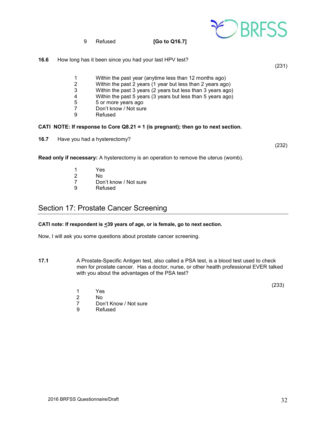# 9 Refused **[Go to Q16.7]**

**16.6** How long has it been since you had your last HPV test?

(231)

- 1 Within the past year (anytime less than 12 months ago)
- 2 Within the past 2 years (1 year but less than 2 years ago)
- 3 Within the past 3 years (2 years but less than 3 years ago)
- 4 Within the past 5 years (3 years but less than 5 years ago)  $5 \times 5$  or more years ago
- 5 5 or more years ago<br>7 Don't know / Not sure
- 7 Don't know / Not sure<br>9 Refused
- **Refused**

# **CATI NOTE: If response to Core Q8.21 = 1 (is pregnant); then go to next section.**

**16.7** Have you had a hysterectomy?

**Read only if necessary:** A hysterectomy is an operation to remove the uterus (womb).

- 1 Yes 2 No<br>7 Dor Don't know / Not sure
- 9 Refused

# <span id="page-31-0"></span>Section 17: Prostate Cancer Screening

## **CATI note: If respondent is <39 years of age, or is female, go to next section.**

Now, I will ask you some questions about prostate cancer screening.

- **17.1** A Prostate-Specific Antigen test, also called a PSA test, is a blood test used to check men for prostate cancer. Has a doctor, nurse, or other health professional EVER talked with you about the advantages of the PSA test?
	- 1 Yes
	- 2 No
	- 7 Don't Know / Not sure<br>9 Refused
	- **Refused**



(232)

(233)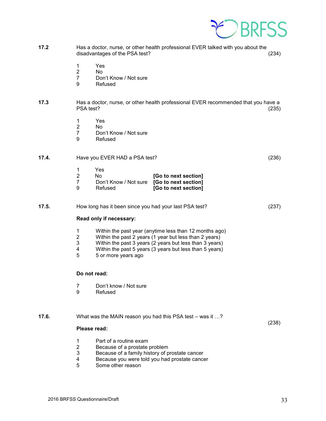

- **17.2** Has a doctor, nurse, or other health professional EVER talked with you about the disadvantages of the PSA test? (234)
	- 1 Yes
	- 2 No
	- Don't Know / Not sure
	- 9 Refused

# **17.3** Has a doctor, nurse, or other health professional EVER recommended that you have a PSA test? (235)

- 1 Yes<br>2 No
- 2 No<br>7 Dou
- Don't Know / Not sure
- 9 Refused

# **17.4.** Have you EVER HAD a PSA test? (236)

|    | Yes                   |                      |
|----|-----------------------|----------------------|
| -2 | No.                   | [Go to next section] |
|    | Don't Know / Not sure | [Go to next section] |
| ୍ର | Refused               | [Go to next section] |

## **17.5.** How long has it been since you had your last PSA test? (237)

#### **Read only if necessary:**

- 1 Within the past year (anytime less than 12 months ago)<br>2 Within the past 2 years (1 year but less than 2 years)
- 2 Within the past 2 years (1 year but less than 2 years)<br>3 Within the past 3 years (2 years but less than 3 years)
- 3 Within the past 3 years (2 years but less than 3 years)
- 4 Within the past 5 years (3 years but less than 5 years)<br>5 5 or more vears ago
- 5 5 or more years ago

#### **Do not read:**

- 7 Don't know / Not sure<br>9 Refused
- **Refused**

# **17.6.** What was the MAIN reason you had this PSA test – was it ...?

#### **Please read:**

- 1 Part of a routine exam
- 2 Because of a prostate problem<br>3 Because of a family history of p
- 3 Because of a family history of prostate cancer
- 4 Because you were told you had prostate cancer<br>5 Some other reason
- 5 Some other reason

(238)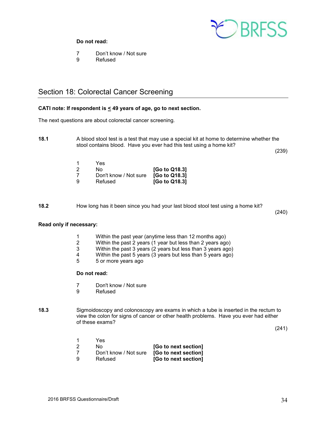

# **Do not read:**

- 7 Don't know / Not sure<br>9 Refused
- **Refused**

# <span id="page-33-0"></span>Section 18: Colorectal Cancer Screening

# **CATI note: If respondent is < 49 years of age, go to next section.**

The next questions are about colorectal cancer screening.

**18.1** A blood stool test is a test that may use a special kit at home to determine whether the stool contains blood. Have you ever had this test using a home kit?

(239)

| -1 | Yes.                  |               |
|----|-----------------------|---------------|
| 2  | No.                   | [Go to Q18.3] |
| 7  | Don't know / Not sure | [Go to Q18.3] |
| 9  | Refused               | [Go to Q18.3] |

**18.2** How long has it been since you had your last blood stool test using a home kit?

(240)

## **Read only if necessary:**

- 1 Within the past year (anytime less than 12 months ago)
- 2 Within the past 2 years (1 year but less than 2 years ago)
- 3 Within the past 3 years (2 years but less than 3 years ago)
- 4 Within the past 5 years (3 years but less than 5 years ago)  $5 5$  or more vears ago
- 5 5 or more years ago

# **Do not read:**

- 7 Don't know / Not sure<br>9 Refused
- **Refused**
- **18.3** Sigmoidoscopy and colonoscopy are exams in which a tube is inserted in the rectum to view the colon for signs of cancer or other health problems. Have you ever had either of these exams?

(241)

|    | Yes.                  |                      |
|----|-----------------------|----------------------|
| 2  | No.                   | [Go to next section] |
| -7 | Don't know / Not sure | [Go to next section] |
| ۰q | Refused               | [Go to next section] |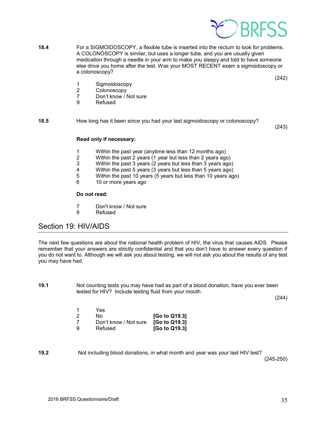

**18.4** For a SIGMOIDOSCOPY, a flexible tube is inserted into the rectum to look for problems. A COLONOSCOPY is similar, but uses a longer tube, and you are usually given medication through a needle in your arm to make you sleepy and told to have someone else drive you home after the test. Was your MOST RECENT exam a sigmoidoscopy or a colonoscopy?

(242)

- 1 Sigmoidoscopy<br>2 Colonoscopy
- 2 Colonoscopy<br>7 Don't know / I
- Don't know / Not sure
- 9 Refused

**18.5** How long has it been since you had your last sigmoidoscopy or colonoscopy?

(243)

#### **Read only if necessary:**

- 1 Within the past year (anytime less than 12 months ago)
- 2 Within the past 2 years (1 year but less than 2 years ago)
- 
- 3 Within the past 3 years (2 years but less than 3 years ago)
- 4 Within the past 5 years (3 years but less than 5 years ago)<br>5 Within the past 10 years (5 years but less than 10 years ago 5 Within the past 10 years (5 years but less than 10 years ago)<br>6 10 or more vears ago
- 10 or more years ago

#### **Do not read:**

- 7 Don't know / Not sure
- 9 Refused

# <span id="page-34-0"></span>Section 19: HIV/AIDS

The next few questions are about the national health problem of HIV, the virus that causes AIDS. Please remember that your answers are strictly confidential and that you don't have to answer every question if you do not want to. Although we will ask you about testing, we will not ask you about the results of any test you may have had.

**19.1** Not counting tests you may have had as part of a blood donation, have you ever been tested for HIV? Include testing fluid from your mouth.

(244)

|    | Yes                   |               |
|----|-----------------------|---------------|
| -2 | Nο                    | [Go to Q19.3] |
|    | Don't know / Not sure | [Go to Q19.3] |
| -9 | Refused               | [Go to Q19.3] |

**19.2** Not including blood donations, in what month and year was your last HIV test?

(245-250)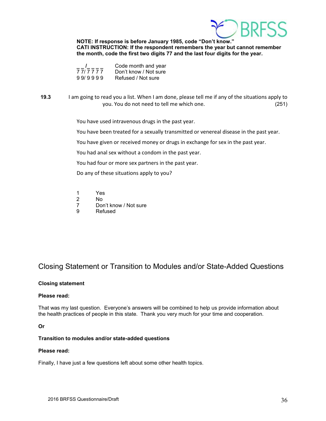

# **NOTE: If response is before January 1985, code "Don't know."**

**CATI INSTRUCTION: If the respondent remembers the year but cannot remember the month, code the first two digits 77 and the last four digits for the year.** 

|         | Code month and year   |
|---------|-----------------------|
| 777777  | Don't know / Not sure |
| 99/9999 | Refused / Not sure    |

# **19.3** I am going to read you a list. When I am done, please tell me if any of the situations apply to you. You do not need to tell me which one. (251)

You have used intravenous drugs in the past year.

You have been treated for a sexually transmitted or venereal disease in the past year.

You have given or received money or drugs in exchange for sex in the past year.

You had anal sex without a condom in the past year.

You had four or more sex partners in the past year.

Do any of these situations apply to you?

- 1 Yes<br>2 No
- No.
- 7 Don't know / Not sure
- 9 Refused

# Closing Statement or Transition to Modules and/or State-Added Questions

## **Closing statement**

## **Please read:**

That was my last question. Everyone's answers will be combined to help us provide information about the health practices of people in this state. Thank you very much for your time and cooperation.

**Or**

# **Transition to modules and/or state-added questions**

## **Please read:**

Finally, I have just a few questions left about some other health topics.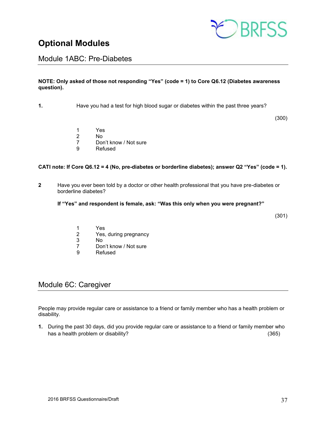

# <span id="page-36-0"></span>**Optional Modules**

# <span id="page-36-1"></span>Module 1ABC: Pre-Diabetes

## **NOTE: Only asked of those not responding "Yes" (code = 1) to Core Q6.12 (Diabetes awareness question).**

**1.** Have you had a test for high blood sugar or diabetes within the past three years?

(300)

- 1 Yes
- 2 No
- 7 Don't know / Not sure<br>9 Refused
- **Refused**

## **CATI note: If Core Q6.12 = 4 (No, pre-diabetes or borderline diabetes); answer Q2 "Yes" (code = 1).**

**2** Have you ever been told by a doctor or other health professional that you have pre-diabetes or borderline diabetes?

**If "Yes" and respondent is female, ask: "Was this only when you were pregnant?"** 

(301)

- 1 Yes<br>2 Yes,
- 2 Yes, during pregnancy<br>3 No
- 3 No
- Don't know / Not sure
- 9 Refused

# <span id="page-36-2"></span>Module 6C: Caregiver

People may provide regular care or assistance to a friend or family member who has a health problem or disability.

**1.** During the past 30 days, did you provide regular care or assistance to a friend or family member who has a health problem or disability? (365)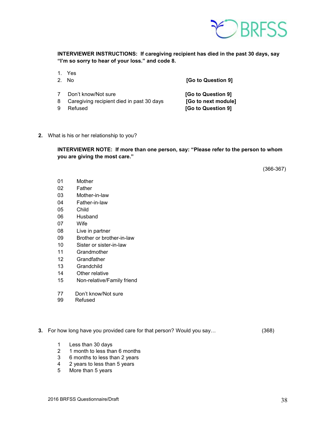

**INTERVIEWER INSTRUCTIONS: If caregiving recipient has died in the past 30 days, say "I'm so sorry to hear of your loss." and code 8.** 

- 1. Yes
- 

## 2. No **[Go to Question 9]**

- 7 Don't know/Not sure **[Go to Question 9]**
- 8 Caregiving recipient died in past 30 days **[Go to next module]**
- 

9 Refused **[Go to Question 9]**

**2.** What is his or her relationship to you?

**INTERVIEWER NOTE: If more than one person, say: "Please refer to the person to whom you are giving the most care."**

(366-367)

- 01 Mother
- 02 Father
- 03 Mother-in-law
- 04 Father-in-law
- 05 Child
- 06 Husband
- 07 Wife
- 08 Live in partner
- 09 Brother or brother-in-law
- 10 Sister or sister-in-law
- 11 Grandmother
- 12 Grandfather
- 13 Grandchild
- 14 Other relative
- 15 Non-relative/Family friend
- 77 Don't know/Not sure<br>99 Refused
- Refused

**3.** For how long have you provided care for that person? Would you say… (368)

- 1 Less than 30 days
- 2 1 month to less than 6 months
- 3 6 months to less than 2 years
- 4 2 years to less than 5 years
- 5 More than 5 years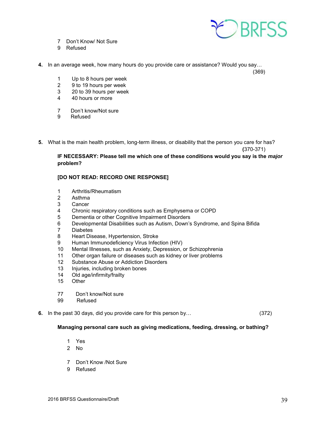

- 7 Don't Know/ Not Sure
- 9 Refused
- **4.** In an average week, how many hours do you provide care or assistance? Would you say…

(369)

- 1 Up to 8 hours per week
- 2 9 to 19 hours per week
- 3 20 to 39 hours per week
- 4 40 hours or more
- 7 Don't know/Not sure
- 9 Refused
- **5.** What is the main health problem, long-term illness, or disability that the person you care for has?

 **(**370-371)

# **IF NECESSARY: Please tell me which one of these conditions would you say is the** *major* **problem?**

# **[DO NOT READ: RECORD ONE RESPONSE]**

- 1 Arthritis/Rheumatism
- 2 Asthma
- 3 Cancer
- 4 Chronic respiratory conditions such as Emphysema or COPD
- 5 Dementia or other Cognitive Impairment Disorders
- 6 Developmental Disabilities such as Autism, Down's Syndrome, and Spina Bifida
- 7 Diabetes
- 8 Heart Disease, Hypertension, Stroke
- 9 Human Immunodeficiency Virus Infection (HIV)
- 10 Mental Illnesses, such as Anxiety, Depression, or Schizophrenia
- 11 Other organ failure or diseases such as kidney or liver problems
- 12 Substance Abuse or Addiction Disorders
- 13 Injuries, including broken bones
- 14 Old age/infirmity/frailty
- 15 Other
- 77 Don't know/Not sure
- 99 Refused

**6.** In the past 30 days, did you provide care for this person by… (372)

## **Managing personal care such as giving medications, feeding, dressing, or bathing?**

- 1 Yes
- 2 No
- 7 Don't Know /Not Sure
- 9 Refused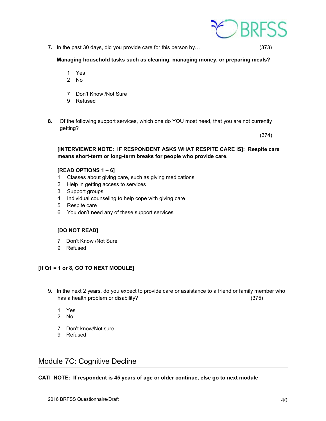

**7.** In the past 30 days, did you provide care for this person by… (373)

#### **Managing household tasks such as cleaning, managing money, or preparing meals?**

- 1 Yes
- 2 No
- 7 Don't Know /Not Sure
- 9 Refused
- **8.** Of the following support services, which one do YOU most need, that you are not currently getting?

(374)

**[INTERVIEWER NOTE: IF RESPONDENT ASKS WHAT RESPITE CARE IS]: Respite care means short-term or long-term breaks for people who provide care.**

#### **[READ OPTIONS 1 – 6]**

- 1 Classes about giving care, such as giving medications
- 2 Help in getting access to services
- 3 Support groups
- 4 Individual counseling to help cope with giving care
- 5 Respite care
- 6 You don't need any of these support services

## **[DO NOT READ]**

- 7 Don't Know /Not Sure
- 9 Refused

# **[If Q1 = 1 or 8, GO TO NEXT MODULE]**

- 9. In the next 2 years, do you expect to provide care or assistance to a friend or family member who has a health problem or disability? (375)
	- 1 Yes
	- 2 No
	- 7 Don't know/Not sure
	- 9 Refused

# <span id="page-39-0"></span>Module 7C: Cognitive Decline

**CATI NOTE: If respondent is 45 years of age or older continue, else go to next module**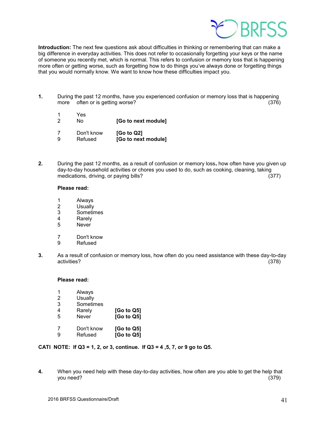

**Introduction:** The next few questions ask about difficulties in thinking or remembering that can make a big difference in everyday activities. This does not refer to occasionally forgetting your keys or the name of someone you recently met, which is normal. This refers to confusion or memory loss that is happening more often or getting worse, such as forgetting how to do things you've always done or forgetting things that you would normally know. We want to know how these difficulties impact you.

- **1.** During the past 12 months, have you experienced confusion or memory loss that is happening more often or is getting worse? (376)
	- 1 Yes 2 No **[Go to next module]** 7 Don't know **[Go to Q2]** 9 Refused **[Go to next module]**
	-
- **2.** During the past 12 months, as a result of confusion or memory loss, how often have you given up day-to-day household activities or chores you used to do, such as cooking, cleaning, taking medications, driving, or paying bills? (377)

## **Please read:**

- 1 Always<br>2 Usually
- **Usually**
- 3 Sometimes
- 4 Rarely<br>5 Never
- **Never**
- 7 Don't know<br>9 Refused
- **Refused**
- **3.** As a result of confusion or memory loss, how often do you need assistance with these day-to-day activities? (378)

## **Please read:**

1 Always<br>2 Usually 2 Usually<br>3 Sometir **Sometimes** 4 Rarely **[Go to Q5] [Go to Q5]** 7 Don't know **[Go to Q5] [Go to Q5]** 

**CATI NOTE: If Q3 = 1, 2, or 3, continue. If Q3 = 4 ,5, 7, or 9 go to Q5.**

**4.** When you need help with these day-to-day activities, how often are you able to get the help that you need? (379)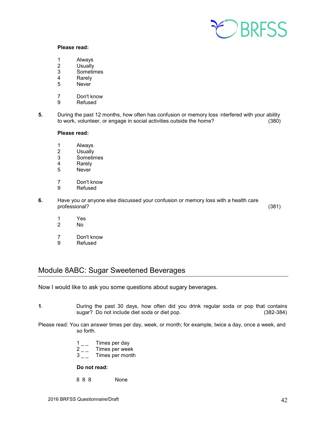

## **Please read:**

- 1 Always
- 2 Usually
- 3 Sometimes
- 4 Rarely
- 5 Never
- 7 Don't know
- 9 Refused
- **5.** During the past 12 months, how often has confusion or memory loss interfered with your ability to work, volunteer, or engage in social activities outside the home? (380)

## **Please read:**

- 1 Always
- 2 Usually<br>3 Sometir
- 3 Sometimes
- 4 Rarely<br>5 Never
- **Never**
- 7 Don't know
- 9 Refused
- **6.** Have you or anyone else discussed your confusion or memory loss with a health care professional? (381)

- 1 Yes<br>2 No
- No.
- 7 Don't know<br>9 Refused
- **Refused**

# <span id="page-41-0"></span>Module 8ABC: Sugar Sweetened Beverages

Now I would like to ask you some questions about sugary beverages.

- **1**. During the past 30 days, how often did you drink regular soda or pop that contains sugar? Do not include diet soda or diet pop.
- Please read: You can answer times per day, week, or month; for example, twice a day, once a week, and so forth.
	- $1_{--}$  Times per day<br>2 Times per weel
	-
	- $2<sub>-</sub>$  Times per week<br>3 Times per month Times per month

## **Do not read:**

8 8 8 None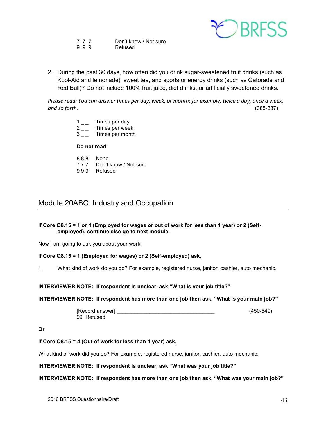

7 7 7 Don't know / Not sure<br>9 9 9 Refused **Refused** 

2. During the past 30 days, how often did you drink sugar-sweetened fruit drinks (such as Kool-Aid and lemonade), sweet tea, and sports or energy drinks (such as Gatorade and Red Bull)? Do not include 100% fruit juice, diet drinks, or artificially sweetened drinks.

*Please read: You can answer times per day, week, or month: for example, twice a day, once a week, and so forth.* (385-387)

- Times per day
- 2<sub>\_\_</sub> Times per week
- Times per month

# **Do not read:**

- 8 8 8 None
- 7 7 7 Don't know / Not sure
- 9 9 9 Refused

# <span id="page-42-0"></span>Module 20ABC: Industry and Occupation

# **If Core Q8.15 = 1 or 4 (Employed for wages or out of work for less than 1 year) or 2 (Selfemployed), continue else go to next module.**

Now I am going to ask you about your work.

# **If Core Q8.15 = 1 (Employed for wages) or 2 (Self-employed) ask,**

**1**. What kind of work do you do? For example, registered nurse, janitor, cashier, auto mechanic.

# **INTERVIEWER NOTE: If respondent is unclear, ask "What is your job title?"**

**INTERVIEWER NOTE: If respondent has more than one job then ask, "What is your main job?"**

 $[Record answer]$   $(450-549)$ 99 Refused

## **Or**

# **If Core Q8.15 = 4 (Out of work for less than 1 year) ask,**

What kind of work did you do? For example, registered nurse, janitor, cashier, auto mechanic.

**INTERVIEWER NOTE: If respondent is unclear, ask "What was your job title?"**

**INTERVIEWER NOTE: If respondent has more than one job then ask, "What was your main job?"**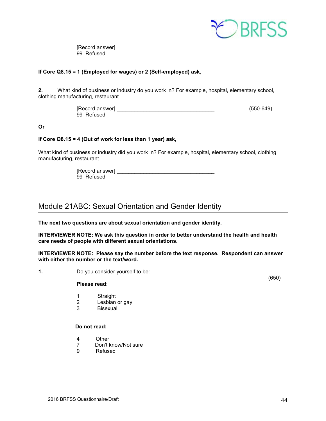

| [Record answer] |  |
|-----------------|--|
| 99 Refused      |  |

# **If Core Q8.15 = 1 (Employed for wages) or 2 (Self-employed) ask,**

**2.** What kind of business or industry do you work in? For example, hospital, elementary school, clothing manufacturing, restaurant.

> $[Record answer]$  (550-649) 99 Refused

**Or**

## **If Core Q8.15 = 4 (Out of work for less than 1 year) ask,**

What kind of business or industry did you work in? For example, hospital, elementary school, clothing manufacturing, restaurant.

> [Record answer] \_\_\_\_\_\_\_\_\_\_\_\_\_\_\_\_\_\_\_\_\_\_\_\_\_\_\_\_\_\_\_\_\_ 99 Refused

# <span id="page-43-0"></span>Module 21ABC: Sexual Orientation and Gender Identity

**The next two questions are about sexual orientation and gender identity.**

**INTERVIEWER NOTE: We ask this question in order to better understand the health and health care needs of people with different sexual orientations.**

**INTERVIEWER NOTE: Please say the number before the text response. Respondent can answer with either the number or the text/word.** 

**1.** Do you consider yourself to be:

(650)

## **Please read:**

- 1 Straight
- 2 Lesbian or gay
- 3 Bisexual

#### **Do not read:**

- 4 Other<br>7 Don't k
- 7 Don't know/Not sure<br>9 Refused
- **Refused**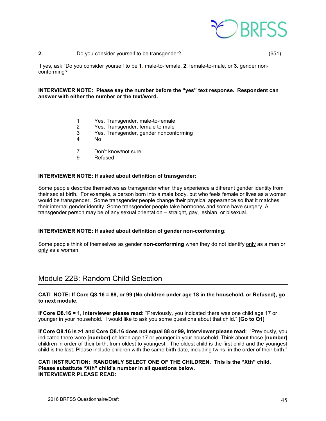

## **2.** Do you consider yourself to be transgender? (651)

If yes, ask "Do you consider yourself to be **1.** male-to-female, **2**. female-to-male, or **3.** gender nonconforming?

## **INTERVIEWER NOTE: Please say the number before the "yes" text response. Respondent can answer with either the number or the text/word.**

- 1 Yes, Transgender, male-to-female<br>2 Yes. Transgender, female to male
- 2 Yes, Transgender, female to male<br>3 Yes, Transgender, gender noncont
- Yes, Transgender, gender nonconforming
- 4 No
- 7 Don't know/not sure
- 9 Refused

## **INTERVIEWER NOTE: If asked about definition of transgender:**

Some people describe themselves as transgender when they experience a different gender identity from their sex at birth. For example, a person born into a male body, but who feels female or lives as a woman would be transgender. Some transgender people change their physical appearance so that it matches their internal gender identity. Some transgender people take hormones and some have surgery. A transgender person may be of any sexual orientation – straight, gay, lesbian, or bisexual.

## **INTERVIEWER NOTE: If asked about definition of gender non-conforming**:

Some people think of themselves as gender **non-conforming** when they do not identify only as a man or only as a woman.

# <span id="page-44-0"></span>Module 22B: Random Child Selection

#### **CATI NOTE: If Core Q8.16 = 88, or 99 (No children under age 18 in the household, or Refused), go to next module.**

**If Core Q8.16 = 1, Interviewer please read:** "Previously, you indicated there was one child age 17 or younger in your household. I would like to ask you some questions about that child." **[Go to Q1]**

**If Core Q8.16 is >1 and Core Q8.16 does not equal 88 or 99, Interviewer please read:** "Previously, you indicated there were **[number]** children age 17 or younger in your household. Think about those **[number]** children in order of their birth, from oldest to youngest. The oldest child is the first child and the youngest child is the last. Please include children with the same birth date, including twins, in the order of their birth."

**CATI INSTRUCTION: RANDOMLY SELECT ONE OF THE CHILDREN. This is the "Xth" child. Please substitute "Xth" child's number in all questions below. INTERVIEWER PLEASE READ:**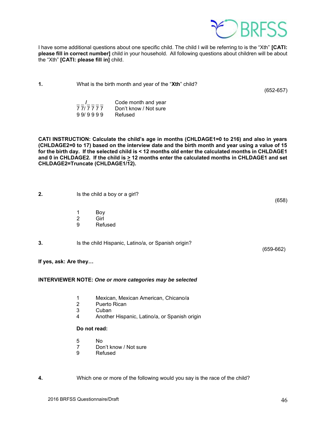

I have some additional questions about one specific child. The child I will be referring to is the "Xth" **[CATI: please fill in correct number]** child in your household. All following questions about children will be about the "Xth" **[CATI: please fill in]** child.

**1.** What is the birth month and year of the "**Xth**" child?

(652-657)

|              | Code month and year   |
|--------------|-----------------------|
| 7 7/ 7 7 7 7 | Don't know / Not sure |
| 99/9999      | Refused               |

**CATI INSTRUCTION: Calculate the child's age in months (CHLDAGE1=0 to 216) and also in years (CHLDAGE2=0 to 17) based on the interview date and the birth month and year using a value of 15 for the birth day. If the selected child is < 12 months old enter the calculated months in CHLDAGE1**  and 0 in CHLDAGE2. If the child is  $\geq$  12 months enter the calculated months in CHLDAGE1 and set **CHLDAGE2=Truncate (CHLDAGE1/12).** 

**2.** Is the child a boy or a girl? (658) 1 Boy<br>2 Girl 2 Girl<br>9 Refu **Refused 3.** Is the child Hispanic, Latino/a, or Spanish origin? (659-662) **If yes, ask: Are they… INTERVIEWER NOTE:** *One or more categories may be selected*

- 1 Mexican, Mexican American, Chicano/a
- Puerto Rican
- 3 Cuban<br>4 Anothe
- 4 Another Hispanic, Latino/a, or Spanish origin

#### **Do not read:**

- 5 No
- 7 Don't know / Not sure<br>9 Refused
- **Refused**

**4.** Which one or more of the following would you say is the race of the child?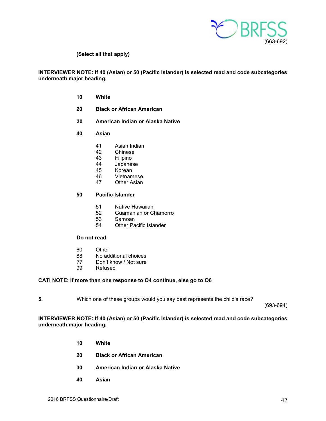

## **(Select all that apply)**

**INTERVIEWER NOTE: If 40 (Asian) or 50 (Pacific Islander) is selected read and code subcategories underneath major heading.**

- **10 White**
- **20 Black or African American**
- **30 American Indian or Alaska Native**
- **40 Asian**
	- 41 Asian Indian<br>42 Chinese
	- 42 Chinese<br>43 Filipino
	- Filipino
	- 44 Japanese<br>45 Korean
	- 45 Korean<br>46 Vietnam
	- 46 Vietnamese<br>47 Other Asian
	- **Other Asian**

# **50 Pacific Islander**

- 51 Native Hawaiian
- 52 Guamanian or Chamorro<br>53 Samoan
- 53 Samoan<br>54 Other Pa
- Other Pacific Islander

## **Do not read:**

- 60 Other<br>88 No.ad
- No additional choices
- 77 Don't know / Not sure
- 99 Refused

# **CATI NOTE: If more than one response to Q4 continue, else go to Q6**

**5.** Which one of these groups would you say best represents the child's race?

(693-694)

## **INTERVIEWER NOTE: If 40 (Asian) or 50 (Pacific Islander) is selected read and code subcategories underneath major heading.**

- **10 White**
- **20 Black or African American**
- **30 American Indian or Alaska Native**
- **40 Asian**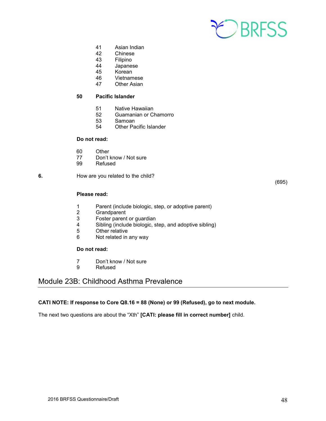

- 41 Asian Indian
- 42 Chinese<br>43 Filipino
- **Filipino**
- 44 Japanese
- 45 Korean
- 46 Vietnamese
- 47 Other Asian

# **50 Pacific Islander**

- 51 Native Hawaiian<br>52 Guamanian or Cl
- 52 Guamanian or Chamorro
- 53 Samoan<br>54 Other Pa
- Other Pacific Islander

#### **Do not read:**

- 60 Other
- 77 Don't know / Not sure<br>99 Refused
- Refused

**6.** How are you related to the child?

(695)

# **Please read:**

- 1 Parent (include biologic, step, or adoptive parent)<br>2 Grandparent
- 2 Grandparent<br>3 Foster parent
- 3 Foster parent or guardian<br>4 Sibling (include biologic, s
- 4 Sibling (include biologic, step, and adoptive sibling)<br>5 Other relative
- Other relative
- 6 Not related in any way

## **Do not read:**

- 7 Don't know / Not sure<br>9 Refused
- **Refused**

# <span id="page-47-0"></span>Module 23B: Childhood Asthma Prevalence

## **CATI NOTE: If response to Core Q8.16 = 88 (None) or 99 (Refused), go to next module.**

The next two questions are about the "Xth" **[CATI: please fill in correct number]** child.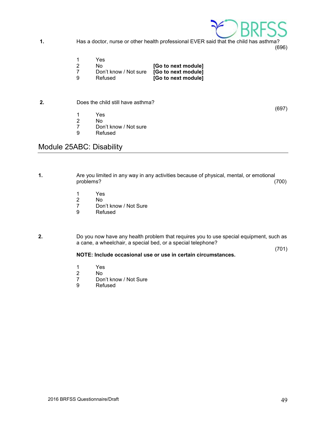

**1.** Has a doctor, nurse or other health professional EVER said that the child has asthma? (696)

|    | Yes                   |                     |
|----|-----------------------|---------------------|
| -2 | No.                   | [Go to next module] |
|    | Don't know / Not sure | [Go to next module] |
| ୍ର | Refused               | [Go to next module] |

# **2.** Does the child still have asthma?

- 1 Yes
- 2 No<br>7 Dor
- 7 Don't know / Not sure<br>9 Refused
- **Refused**

# <span id="page-48-0"></span>Module 25ABC: Disability

- **1.** Are you limited in any way in any activities because of physical, mental, or emotional problems?
	- 1 Yes<br>2 No
	- 2 No<br>7 Dor
	- 7 Don't know / Not Sure<br>9 Refused
	- **Refused**
- **2.** Do you now have any health problem that requires you to use special equipment, such as a cane, a wheelchair, a special bed, or a special telephone? (701)

**NOTE: Include occasional use or use in certain circumstances.**

- 1 Yes
- No.
- 7 Don't know / Not Sure<br>9 Refused
- **Refused**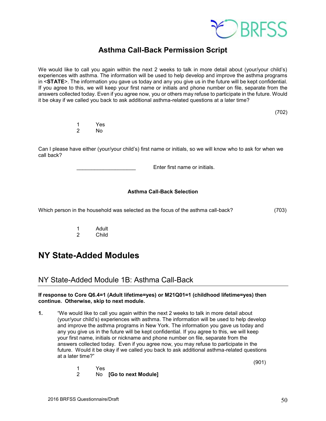

# **Asthma Call-Back Permission Script**

We would like to call you again within the next 2 weeks to talk in more detail about (your/your child's) experiences with asthma. The information will be used to help develop and improve the asthma programs in <**STATE**>. The information you gave us today and any you give us in the future will be kept confidential. If you agree to this, we will keep your first name or initials and phone number on file, separate from the answers collected today. Even if you agree now, you or others may refuse to participate in the future. Would it be okay if we called you back to ask additional asthma-related questions at a later time?

(702)

1 Yes N<sub>o</sub>

Can I please have either (your/your child's) first name or initials, so we will know who to ask for when we call back?

Enter first name or initials.

# **Asthma Call-Back Selection**

Which person in the household was selected as the focus of the asthma call-back? (703)

1 Adult 2 Child

# <span id="page-49-0"></span>**NY State-Added Modules**

# <span id="page-49-1"></span>NY State-Added Module 1B: Asthma Call-Back

## **If response to Core Q6.4=1 (Adult lifetime=yes) or M21Q01=1 (childhood lifetime=yes) then continue. Otherwise, skip to next module.**

**1.** "We would like to call you again within the next 2 weeks to talk in more detail about (your/your child's) experiences with asthma. The information will be used to help develop and improve the asthma programs in New York. The information you gave us today and any you give us in the future will be kept confidential. If you agree to this, we will keep your first name, initials or nickname and phone number on file, separate from the answers collected today. Even if you agree now, you may refuse to participate in the future. Would it be okay if we called you back to ask additional asthma-related questions at a later time?" (901)

$$
1 \t\t\t Yes
$$

2 No **[Go to next Module]**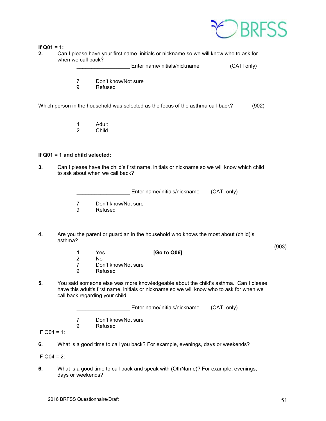

# **If Q01 = 1:**<br>**2.** Ca

**2.** Can I please have your first name, initials or nickname so we will know who to ask for when we call back?

Enter name/initials/nickname (CATI only)

- 7 Don't know/Not sure<br>9 Refused
- **Refused**

Which person in the household was selected as the focus of the asthma call-back? (902)

- 1 Adult<br>2 Child
	- **Child**

# **If Q01 = 1 and child selected:**

**3.** Can I please have the child's first name, initials or nickname so we will know which child to ask about when we call back?

Enter name/initials/nickname (CATI only)

- 7 Don't know/Not sure
- 9 Refused
- **4.** Are you the parent or guardian in the household who knows the most about (child)'s asthma?
	- 1 Yes **[Go to Q06]**
	- 2 No<br>7 Dor
	- Don't know/Not sure
	- 9 Refused
- **5.** You said someone else was more knowledgeable about the child's asthma. Can I please have this adult's first name, initials or nickname so we will know who to ask for when we call back regarding your child.

Enter name/initials/nickname (CATI only)

7 Don't know/Not sure

9 Refused

IF Q04 = 1:

**6.** What is a good time to call you back? For example, evenings, days or weekends?

IF Q04 = 2:

**6.** What is a good time to call back and speak with (OthName)? For example, evenings, days or weekends?

(903)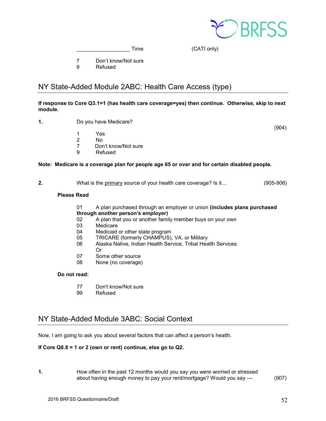

Time (CATI only)

- 7 Don't know/Not sure<br>9 Refused
- **Refused**

# <span id="page-51-0"></span>NY State-Added Module 2ABC: Health Care Access (type)

## **If response to Core Q3.1=1 (has health care coverage=yes) then continue. Otherwise, skip to next module.**

**1.** Do you have Medicare?

(904)

- 1 Yes
- 2 No<br>7 Dor
- 7 Don't know/Not sure<br>9 Refused
- **Refused**

# **Note: Medicare is a coverage plan for people age 65 or over and for certain disabled people.**

## **2.** What is the primary source of your health care coverage? Is it… (905-906)

## **Please Read**

# 01 A plan purchased through an employer or union **(includes plans purchased through another person's employer)**<br>02 A plan that you or another famil

- A plan that you or another family member buys on your own
- 03 Medicare
- 04 Medicaid or other state program<br>05 TRICARE (formerly CHAMPUS)
- TRICARE (formerly CHAMPUS), VA, or Military
- 06 Alaska Native, Indian Health Service, Tribal Health Services Or
- 07 Some other source<br>08 None (no coverage)
- None (no coverage)

## **Do not read:**

- 77 Don't know/Not sure<br>99 Refused
	- Refused

# <span id="page-51-1"></span>NY State-Added Module 3ABC: Social Context

Now, I am going to ask you about several factors that can affect a person's health.

# **If Core Q8.8 = 1 or 2 (own or rent) continue, else go to Q2.**

**1.** How often in the past 12 months would you say you were worried or stressed about having enough money to pay your rent/mortgage? Would you say --- (907)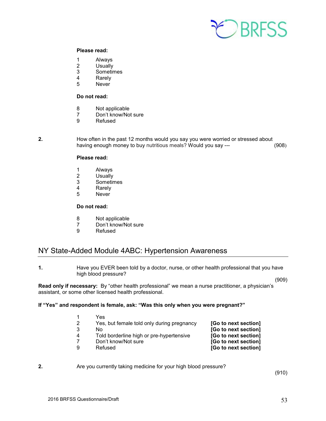

#### **Please read:**

- 1 Always
- 2 Usually
- 3 Sometimes
- **Rarely**
- 5 Never

# **Do not read:**

- 8 Not applicable<br>7 Don't know/No
- Don't know/Not sure
- 9 Refused

**2.** How often in the past 12 months would you say you were worried or stressed about having enough money to buy nutritious meals? Would you say --- (908)

# **Please read:**

- 1 Always<br>2 Usually
- 2 Usually<br>3 Sometin
- **Sometimes**
- 4 Rarely<br>5 Never
- **Never**

#### **Do not read:**

- 8 Not applicable<br>7 Don't know/No
- 7 Don't know/Not sure<br>9 Refused
- **Refused**

# <span id="page-52-0"></span>NY State-Added Module 4ABC: Hypertension Awareness

**1.** Have you EVER been told by a doctor, nurse, or other health professional that you have high blood pressure?

(909)

**Read only if necessary:** By "other health professional" we mean a nurse practitioner, a physician's assistant, or some other licensed health professional.

# **If "Yes" and respondent is female, ask: "Was this only when you were pregnant?"**

|   | Yes                                        |                      |
|---|--------------------------------------------|----------------------|
| 2 | Yes, but female told only during pregnancy | [Go to next section] |
| 3 | No                                         | [Go to next section] |
|   | Told borderline high or pre-hypertensive   | [Go to next section] |
|   | Don't know/Not sure                        | [Go to next section] |
|   | Refused                                    | [Go to next section] |
|   |                                            |                      |

## **2.** Are you currently taking medicine for your high blood pressure?

(910)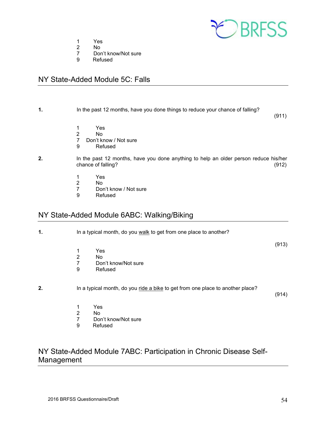

(911)

- 1 Yes
- 2 No<br>7 Dor
- 7 Don't know/Not sure<br>9 Refused
- **Refused**

# <span id="page-53-0"></span>NY State-Added Module 5C: Falls

#### **1.** In the past 12 months, have you done things to reduce your chance of falling?

1 Yes

- 
- 2 No<br>7 Don't ki 7 Don't know / Not sure<br>9 Refused
- **Refused**
- **2.** In the past 12 months, have you done anything to help an older person reduce his/her chance of falling? (912)
	- 1 Yes
	-
	- 2 No<br>7 Dor Don't know / Not sure
	- 9 Refused

# <span id="page-53-1"></span>NY State-Added Module 6ABC: Walking/Biking

- **1.** In a typical month, do you walk to get from one place to another? (913) 1 Yes 2 No 7 Don't know/Not sure<br>9 Refused **Refused 2.** In a typical month, do you ride a bike to get from one place to another place? (914)
	- 1 Yes
	- 2 No<br>7 Dor Don't know/Not sure
	- 9 Refused

# <span id="page-53-2"></span>NY State-Added Module 7ABC: Participation in Chronic Disease Self-Management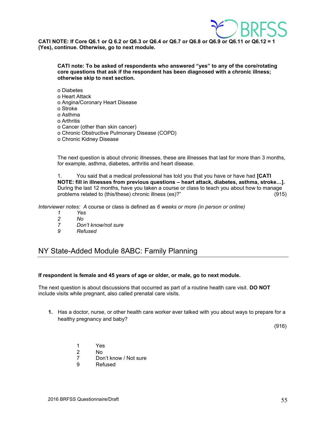

**CATI NOTE: If Core Q6.1 or Q 6.2 or Q6.3 or Q6.4 or Q6.7 or Q6.8 or Q6.9 or Q6.11 or Q6.12 = 1 (Yes), continue. Otherwise, go to next module.**

**CATI note: To be asked of respondents who answered "yes" to any of the core/rotating core questions that ask if the respondent has been diagnosed with a chronic illness; otherwise skip to next section.** 

o Diabetes o Heart Attack o Angina/Coronary Heart Disease o Stroke o Asthma o Arthritis o Cancer (other than skin cancer) o Chronic Obstructive Pulmonary Disease (COPD) o Chronic Kidney Disease

The next question is about chronic illnesses, these are illnesses that last for more than 3 months, for example, asthma, diabetes, arthritis and heart disease.

1. You said that a medical professional has told you that you have or have had **[CATI NOTE: fill in illnesses from previous questions – heart attack, diabetes, asthma, stroke…].** During the last 12 months, have you taken a course or class to teach you about how to manage problems related to (this/these) chronic illness (es)?" (915)

*Interviewer notes: A* course or class is defined as *6 weeks or more (in person or online)*

- *1 Yes*
- *2 No*
- *7 Don't know/not sure*
- *9 Refused*

# <span id="page-54-0"></span>NY State-Added Module 8ABC: Family Planning

## **If respondent is female and 45 years of age or older, or male, go to next module.**

The next question is about discussions that occurred as part of a routine health care visit. **DO NOT** include visits while pregnant, also called prenatal care visits.

**1.** Has a doctor, nurse, or other health care worker ever talked with you about ways to prepare for a healthy pregnancy and baby?

(916)

- 1 Yes
- 2 No
- 7 Don't know / Not sure
- 9 Refused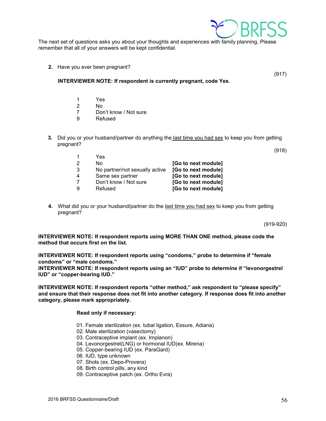The next set of questions asks you about your thoughts and experiences with family planning. Please remember that all of your answers will be kept confidential.

- **2.** Have you ever been pregnant?
	- **INTERVIEWER NOTE: If respondent is currently pregnant, code Yes**.
		- 1 Yes
		- 2 No<br>7 Dor
		- Don't know / Not sure
		- 9 Refused
- **3.** Did you or your husband/partner do anything the last time you had sex to keep you from getting pregnant?
	- 1 Yes 2 No **[Go to next module]**  3 No partner/not sexually active **[Go to next module]** 4 Same sex partner **[Go to next module]**<br>
	7 Don't know / Not sure **[Go to next module]** Don't know / Not sure 9 Refused **[Go to next module]**
- **4.** What did you or your husband/partner do the last time you had sex to keep you from getting pregnant?

(919-920)

**INTERVIEWER NOTE: If respondent reports using MORE THAN ONE method, please code the method that occurs first on the list.** 

**INTERVIEWER NOTE: If respondent reports using "condoms," probe to determine if "female condoms" or "male condoms."**

**INTERVIEWER NOTE: If respondent reports using an "IUD" probe to determine if "levonorgestrel IUD" or "copper-bearing IUD."**

**INTERVIEWER NOTE: If respondent reports "other method," ask respondent to "please specify" and ensure that their response does not fit into another category. If response does fit into another category, please mark appropriately.**

**Read only if necessary:**

- 01. Female sterilization (ex. tubal ligation, Essure, Adiana)
- 02. Male sterilization (vasectomy)
- 03. Contraceptive implant (ex. Implanon)
- 04. Levonorgestrel(LNG) or hormonal IUD(ex. Mirena)
- 05. Copper-bearing IUD (ex. ParaGard)
- 06. IUD, type unknown
- 07. Shots (ex. Depo-Provera)
- 08. Birth control pills, any kind
- 09. Contraceptive patch (ex. Ortho Evra)



(918)

(917)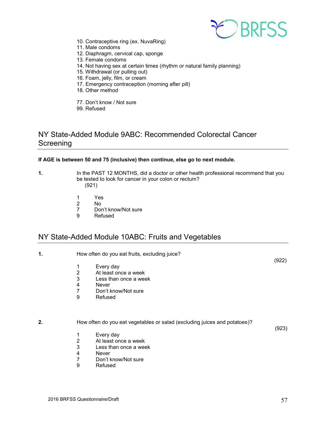

- 10. Contraceptive ring (ex. NuvaRing)
- 11. Male condoms
- 12. Diaphragm, cervical cap, sponge
- 13. Female condoms
- 14. Not having sex at certain times (rhythm or natural family planning)
- 15. Withdrawal (or pulling out)
- 16. Foam, jelly, film, or cream
- 17. Emergency contraception (morning after pill)
- 18. Other method
- 77. Don't know / Not sure
- 99. Refused

# <span id="page-56-0"></span>NY State-Added Module 9ABC: Recommended Colorectal Cancer Screening

## **If AGE is between 50 and 75 (inclusive) then continue, else go to next module.**

- **1.** In the PAST 12 MONTHS, did a doctor or other health professional recommend that you be tested to look for cancer in your colon or rectum? (921)
	- 1 Yes
- 2 No
	- 7 Don't know/Not sure<br>9 Refused
	- **Refused**

# <span id="page-56-1"></span>NY State-Added Module 10ABC: Fruits and Vegetables

| 1. | How often do you eat fruits, excluding juice?      |                                                                                                       |       |
|----|----------------------------------------------------|-------------------------------------------------------------------------------------------------------|-------|
|    | 1<br>$\overline{2}$<br>$\mathbf{3}$<br>4<br>7<br>9 | Every day<br>At least once a week<br>Less than once a week<br>Never<br>Don't know/Not sure<br>Refused | (922) |
| 2. |                                                    | How often do you eat vegetables or salad (excluding juices and potatoes)?                             |       |
|    | 1                                                  | Every day                                                                                             | (923) |
|    | $\overline{2}$                                     | At least once a week                                                                                  |       |
|    | $\mathbf{3}$                                       | Less than once a week                                                                                 |       |
|    | 4                                                  | Never                                                                                                 |       |
|    | $\overline{7}$                                     | Don't know/Not sure                                                                                   |       |
|    | 9                                                  | Refused                                                                                               |       |
|    |                                                    |                                                                                                       |       |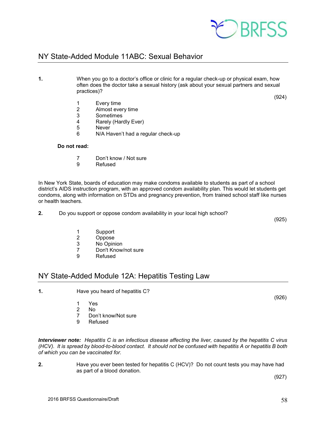

# <span id="page-57-0"></span>NY State-Added Module 11ABC: Sexual Behavior

**1.** When you go to a doctor's office or clinic for a regular check-up or physical exam, how often does the doctor take a sexual history (ask about your sexual partners and sexual practices)?

(924)

- 1 Every time<br>2 Almost eve
- Almost every time
- 3 Sometimes
- 4 Rarely (Hardly Ever)
- 5 Never
- 6 N/A Haven't had a regular check-up

## **Do not read:**

- 7 Don't know / Not sure
- 9 Refused

In New York State, boards of education may make condoms available to students as part of a school district's AIDS instruction program, with an approved condom availability plan. This would let students get condoms, along with information on STDs and pregnancy prevention, from trained school staff like nurses or health teachers.

**2.** Do you support or oppose condom availability in your local high school?

(925)

- 1 Support<br>2 Oppose
- 2 Oppose<br>3 No Opin
- No Opinion
- 7 Don't Know/not sure<br>9 Refused
- 9 Refused

# <span id="page-57-1"></span>NY State-Added Module 12A: Hepatitis Testing Law

- **1.** Have you heard of hepatitis C?
	- 1 Yes
	- 2 No
	- 7 Don't know/Not sure<br>9 Refused
	- **Refused**

*Interviewer note: Hepatitis C is an infectious disease affecting the liver, caused by the hepatitis C virus (HCV). It is spread by blood-to-blood contact. It should not be confused with hepatitis A or hepatitis B both of which you can be vaccinated for.*

**2.** Have you ever been tested for hepatitis C (HCV)? Do not count tests you may have had as part of a blood donation.

(927)

(926)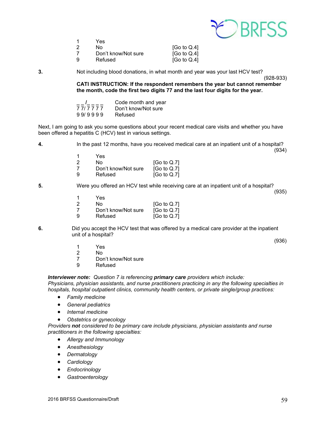

|   | Yes                 |             |
|---|---------------------|-------------|
| 2 | No.                 | [Go to Q.4] |
|   | Don't know/Not sure | [Go to Q.4] |
| a | Refused             | [Go to Q.4] |

**3.** Not including blood donations, in what month and year was your last HCV test?

(928-933)

**CATI INSTRUCTION: If the respondent remembers the year but cannot remember the month, code the first two digits 77 and the last four digits for the year.** 

|         | Code month and year |
|---------|---------------------|
| 777777  | Don't know/Not sure |
| 99/9999 | Refused             |

Next, I am going to ask you some questions about your recent medical care visits and whether you have been offered a hepatitis C (HCV) test in various settings.

**4.** In the past 12 months, have you received medical care at an inpatient unit of a hospital?

(934)

| Yes.                |                |
|---------------------|----------------|
| Nο                  | [Go to Q.7]    |
| Don't know/Not sure | [Go to Q.7]    |
| Refused             | [Go to $Q.7$ ] |
|                     |                |

**5.** Were you offered an HCV test while receiving care at an inpatient unit of a hospital?

(935)

|    | Yes                 |                |
|----|---------------------|----------------|
| 2  | N٥                  | [Go to Q.7]    |
|    | Don't know/Not sure | [Go to $Q.7$ ] |
| -9 | Refused             | [Go to $Q.7$ ] |

**6.** Did you accept the HCV test that was offered by a medical care provider at the inpatient unit of a hospital?

(936)

- 1 Yes
- 2 No 7 Don't know/Not sure<br>9 Refused
- **Refused**

## *Interviewer note: Question 7 is referencing primary care providers which include:*

*Physicians, physician assistants, and nurse practitioners practicing in any the following specialties in hospitals, hospital outpatient clinics, community health centers, or private single/group practices:* 

- *Family medicine*
- *General pediatrics*
- *Internal medicine*
- *Obstetrics or gynecology*

*Providers not considered to be primary care include physicians, physician assistants and nurse practitioners in the following specialties:*

- *Allergy and Immunology*
- *Anesthesiology*
- *Dermatology*
- *Cardiology*
- *Endocrinology*
- *Gastroenterology*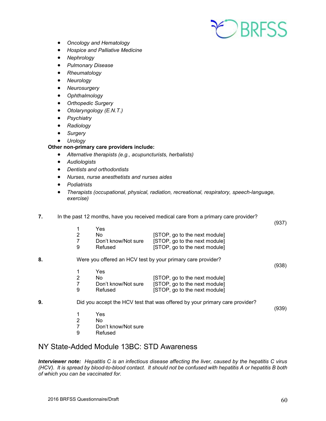

- *Oncology and Hematology*
- *Hospice and Palliative Medicine*
- *Nephrology*
- *Pulmonary Disease*
- *Rheumatology*
- *Neurology*
- *Neurosurgery*
- *Ophthalmology*
- *Orthopedic Surgery*
- *Otolaryngology (E.N.T.)*
- *Psychiatry*
- *Radiology*
- *Surgery*
- *Urology*

#### **Other non-primary care providers include:**

- *Alternative therapists (e.g., acupuncturists, herbalists)*
- *Audiologists*
- *Dentists and orthodontists*
- *Nurses, nurse anesthetists and nurses aides*
- *Podiatrists*
- *Therapists (occupational, physical, radiation, recreational, respiratory, speech-language, exercise)*
- **7.** In the past 12 months, have you received medical care from a primary care provider?

(937)

|     | Yes                 |                               |
|-----|---------------------|-------------------------------|
| - 2 | No.                 | [STOP, go to the next module] |
|     | Don't know/Not sure | [STOP, go to the next module] |
| -9  | Refused             | [STOP, go to the next module] |

## **8.** Were you offered an HCV test by your primary care provider?

(938)

|    | Yes                 |                               |
|----|---------------------|-------------------------------|
| -2 | N٥.                 | [STOP, go to the next module] |
| -7 | Don't know/Not sure | [STOP, go to the next module] |
| ୍ର | Refused             | [STOP, go to the next module] |

**9.** Did you accept the HCV test that was offered by your primary care provider?

(939)

- 1 Yes
- 2 No
- 7 Don't know/Not sure<br>9 Refused
- **Refused**

# <span id="page-59-0"></span>NY State-Added Module 13BC: STD Awareness

*Interviewer note: Hepatitis C is an infectious disease affecting the liver, caused by the hepatitis C virus (HCV). It is spread by blood-to-blood contact. It should not be confused with hepatitis A or hepatitis B both of which you can be vaccinated for.*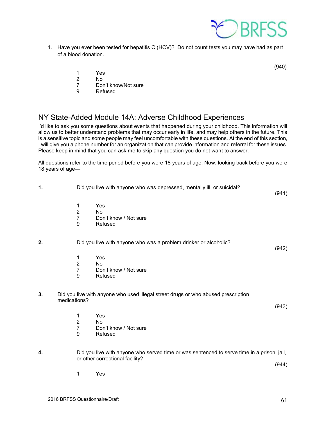

1. Have you ever been tested for hepatitis C (HCV)? Do not count tests you may have had as part of a blood donation.

(940)

- 1 Yes<br>2 No
- 2 No<br>7 Dor
- 7 Don't know/Not sure<br>9 Refused
- **Refused**

# <span id="page-60-0"></span>NY State-Added Module 14A: Adverse Childhood Experiences

I'd like to ask you some questions about events that happened during your childhood. This information will allow us to better understand problems that may occur early in life, and may help others in the future. This is a sensitive topic and some people may feel uncomfortable with these questions. At the end of this section, I will give you a phone number for an organization that can provide information and referral for these issues. Please keep in mind that you can ask me to skip any question you do not want to answer.

All questions refer to the time period before you were 18 years of age. Now, looking back before you were 18 years of age—

| 1. |                  | Did you live with anyone who was depressed, mentally ill, or suicidal?                                                        | (941) |
|----|------------------|-------------------------------------------------------------------------------------------------------------------------------|-------|
|    | 1                | Yes                                                                                                                           |       |
|    | $\overline{2}$   | <b>No</b>                                                                                                                     |       |
|    | $\overline{7}$   | Don't know / Not sure                                                                                                         |       |
|    | 9                | Refused                                                                                                                       |       |
| 2. |                  | Did you live with anyone who was a problem drinker or alcoholic?                                                              | (942) |
|    | 1                | Yes                                                                                                                           |       |
|    | $\overline{2}$   | <b>No</b>                                                                                                                     |       |
|    | $\overline{7}$   | Don't know / Not sure                                                                                                         |       |
|    | 9                | Refused                                                                                                                       |       |
| 3. | medications?     | Did you live with anyone who used illegal street drugs or who abused prescription                                             | (943) |
|    | 1                | Yes                                                                                                                           |       |
|    | $\boldsymbol{2}$ | <b>No</b>                                                                                                                     |       |
|    | $\overline{7}$   | Don't know / Not sure                                                                                                         |       |
|    | 9                | Refused                                                                                                                       |       |
| 4. |                  | Did you live with anyone who served time or was sentenced to serve time in a prison, jail,<br>or other correctional facility? |       |
|    |                  |                                                                                                                               | (944) |
|    | 1                | Yes                                                                                                                           |       |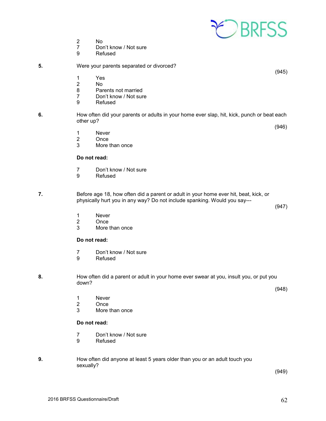- 2 No<br>7 Dor
- 7 Don't know / Not sure<br>9 Refused
- **Refused**
- **5.** Were your parents separated or divorced?
	-
	- 1 Yes 2 No<br>8 Par
	- 8 Parents not married<br>7 Don't know / Not sur
	- 7 Don't know / Not sure<br>9 Refused
	- **Refused**
- **6.** How often did your parents or adults in your home ever slap, hit, kick, punch or beat each other up?
	- 1 Never
	- 2 Once
	- 3 More than once

# **Do not read:**

1 Never 2 Once<br>3 More

**Do not read:**

9 Refused

7 Don't know / Not sure<br>9 Refused

More than once

7 Don't know / Not sure

- **Refused**
- **7.** Before age 18, how often did a parent or adult in your home ever hit, beat, kick, or physically hurt you in any way? Do not include spanking. Would you say---

**8.** How often did a parent or adult in your home ever swear at you, insult you, or put you

(948)

#### 1 Never<br>2 Once **Once**

down?

3 More than once

#### **Do not read:**

- 7 Don't know / Not sure
- 9 Refused
- **9.** How often did anyone at least 5 years older than you or an adult touch you sexually?

(949)



(945)

(946)

(947)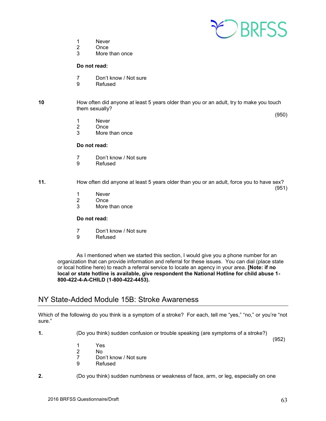

- 1 Never<br>2 Once
- 2 Once<br>3 More
- More than once

#### **Do not read:**

- 7 Don't know / Not sure
- 9 Refused

## **10** How often did anyone at least 5 years older than you or an adult, try to make you touch them sexually?

(950)

(951)

- 1 Never<br>2 Once
- 2 Once<br>3 More
- More than once

#### **Do not read:**

- 7 Don't know / Not sure<br>9 Refused
- **Refused**

**11.** How often did anyone at least 5 years older than you or an adult, force you to have sex?

- 1 Never
- 2 Once<br>3 More
- More than once

## **Do not read:**

- 7 Don't know / Not sure<br>9 Refused
- **Refused**

As I mentioned when we started this section, I would give you a phone number for an organization that can provide information and referral for these issues. You can dial (place state or local hotline here) to reach a referral service to locate an agency in your area. **[Note: if no local or state hotline is available, give respondent the National Hotline for child abuse 1- 800-422-4-A-CHILD (1-800-422-4453).**

# <span id="page-62-0"></span>NY State-Added Module 15B: Stroke Awareness

Which of the following do you think is a symptom of a stroke? For each, tell me "yes," "no," or you're "not sure."

**1.** (Do you think) sudden confusion or trouble speaking (are symptoms of a stroke?)

(952)

- 1 Yes
- 2 No
- Don't know / Not sure
- 9 Refused
- **2.** (Do you think) sudden numbness or weakness of face, arm, or leg, especially on one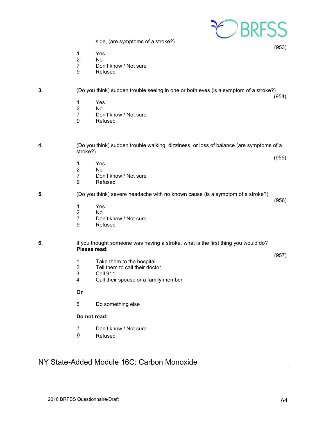

(953)

side, (are symptoms of a stroke?)

- 1 Yes<br>2 No
- No.
- 7 Don't know / Not sure
- 9 Refused

#### **3.** (Do you think) sudden trouble seeing in one or both eyes (is a symptom of a stroke?)  $(954)$

- 
- 1 Yes 2 No
- Don't know / Not sure
- 9 Refused

## **4.** (Do you think) sudden trouble walking, dizziness, or loss of balance (are symptoms of a stroke?) (955)

- 1 Yes<br>2 No
- 2 No<br>7 Dor
- 7 Don't know / Not sure<br>9 Refused
- **Refused**

#### **5.** (Do you think) severe headache with no known cause (is a symptom of a stroke?) (956)

- 1 Yes
- 2 No
- 7 Don't know / Not sure<br>9 Refused
- **Refused**

# **6.** If you thought someone was having a stroke, what is the first thing you would do? **Please read:**

- 1 Take them to the hospital<br>2 Tell them to call their doct
- Tell them to call their doctor
- 3 Call 911<br>4 Call their
- Call their spouse or a family member
- **Or**
- 5 Do something else

# **Do not read:**

- 7 Don't know / Not sure
- 9 Refused

# <span id="page-63-0"></span>NY State-Added Module 16C: Carbon Monoxide

(957)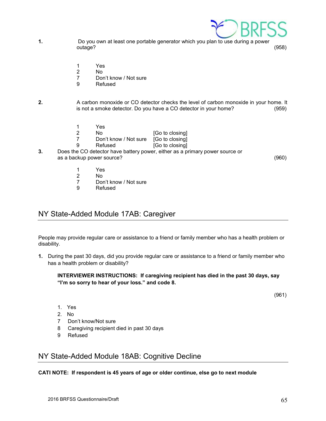- **1.** Do you own at least one portable generator which you plan to use during a power outage? (958)
	- 1 Yes
	- 2 No
	- Don't know / Not sure
	- 9 Refused
- **2.** A carbon monoxide or CO detector checks the level of carbon monoxide in your home. It is not a smoke detector. Do you have a CO detector in your home? (959)
	- 1 Yes
	- No **CONFIDENTIAL CONSTRUCT CONSTRUCT CONSTRUCT CONSTRUCT**
	- 7 Don't know / Not sure [Go to closing]
	- 9 Refused [Go to closing]
- **3.** Does the CO detector have battery power, either as a primary power source or as a backup power source? (960)

- 1 Yes
- 2 No<br>7 Dor
- Don't know / Not sure
- 9 Refused

# <span id="page-64-0"></span>NY State-Added Module 17AB: Caregiver

People may provide regular care or assistance to a friend or family member who has a health problem or disability.

**1.** During the past 30 days, did you provide regular care or assistance to a friend or family member who has a health problem or disability?

**INTERVIEWER INSTRUCTIONS: If caregiving recipient has died in the past 30 days, say "I'm so sorry to hear of your loss." and code 8.**

(961)

- 1. Yes
- 2. No
- 7 Don't know/Not sure
- 8 Caregiving recipient died in past 30 days
- 9 Refused

# <span id="page-64-1"></span>NY State-Added Module 18AB: Cognitive Decline

**CATI NOTE: If respondent is 45 years of age or older continue, else go to next module**